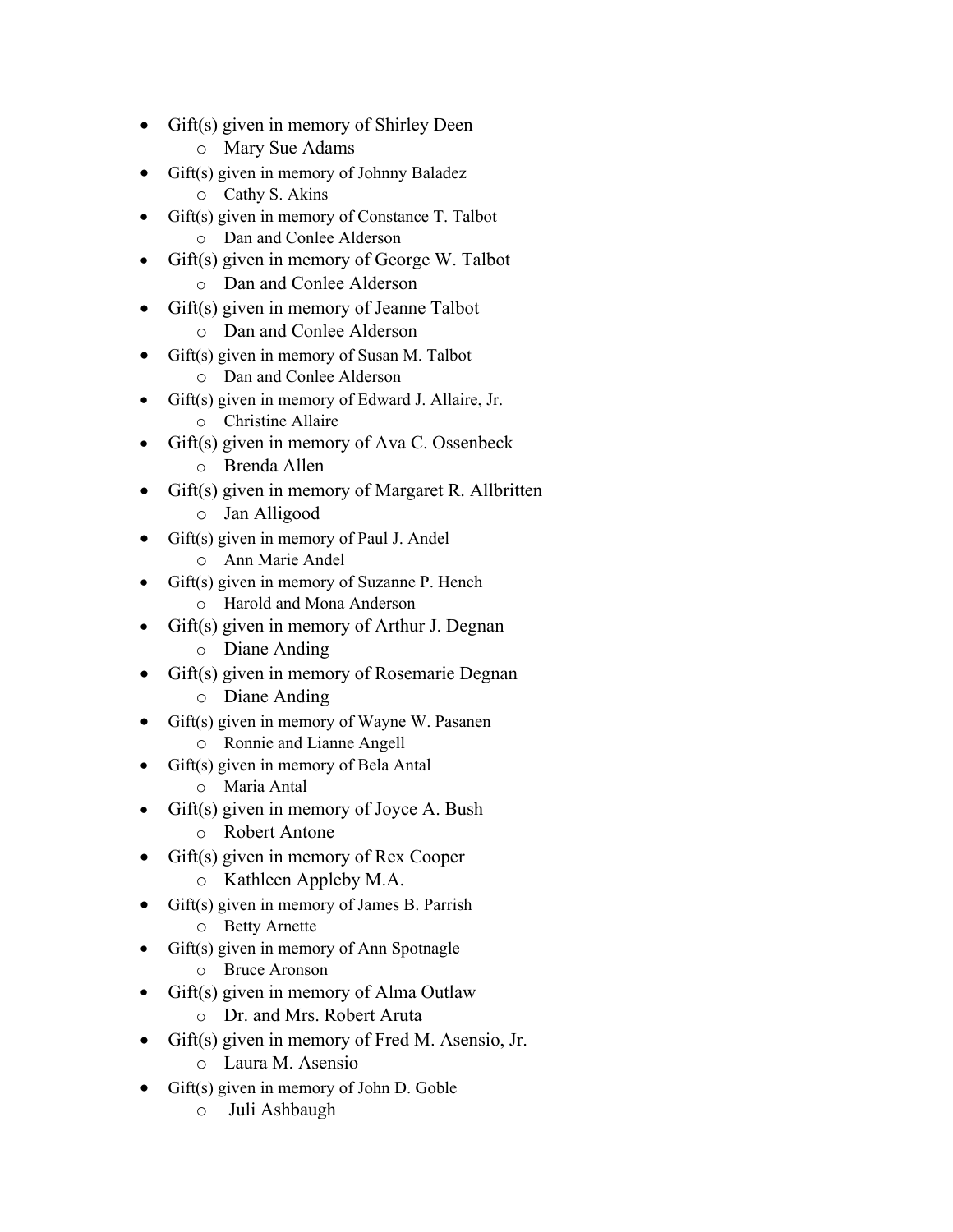- Gift(s) given in memory of Shirley Deen
	- o Mary Sue Adams
- Gift(s) given in memory of Johnny Baladez
	- o Cathy S. Akins
- Gift(s) given in memory of Constance T. Talbot
	- o Dan and Conlee Alderson
- Gift(s) given in memory of George W. Talbot
	- o Dan and Conlee Alderson
- Gift(s) given in memory of Jeanne Talbot
	- o Dan and Conlee Alderson
	- Gift(s) given in memory of Susan M. Talbot o Dan and Conlee Alderson
- Gift(s) given in memory of Edward J. Allaire, Jr.
	- o Christine Allaire
- Gift(s) given in memory of Ava C. Ossenbeck
	- o Brenda Allen
- Gift(s) given in memory of Margaret R. Allbritten
	- o Jan Alligood
- Gift(s) given in memory of Paul J. Andel o Ann Marie Andel
- Gift(s) given in memory of Suzanne P. Hench
	- o Harold and Mona Anderson
- Gift(s) given in memory of Arthur J. Degnan
	- o Diane Anding
- Gift(s) given in memory of Rosemarie Degnan
	- o Diane Anding
- Gift(s) given in memory of Wayne W. Pasanen
	- o Ronnie and Lianne Angell
	- Gift(s) given in memory of Bela Antal
		- o Maria Antal
- $Giff(s)$  given in memory of Joyce A. Bush
	- o Robert Antone
- Gift(s) given in memory of Rex Cooper
	- o Kathleen Appleby M.A.
- Gift(s) given in memory of James B. Parrish
	- o Betty Arnette
- Gift(s) given in memory of Ann Spotnagle o Bruce Aronson
- Gift(s) given in memory of Alma Outlaw
	- o Dr. and Mrs. Robert Aruta
- Gift(s) given in memory of Fred M. Asensio, Jr.
	- o Laura M. Asensio
- Gift(s) given in memory of John D. Goble
	- o Juli Ashbaugh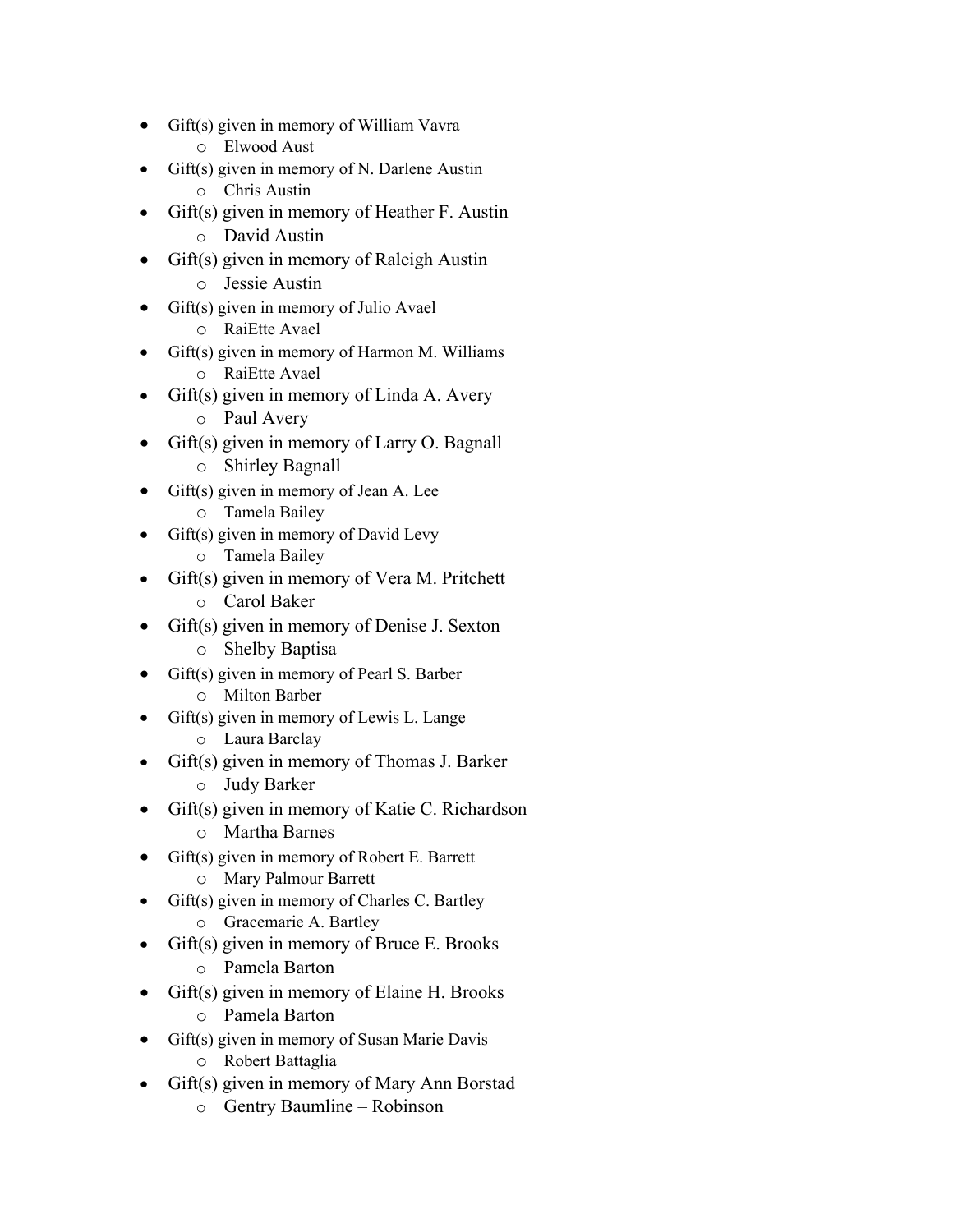- Gift(s) given in memory of William Vavra
	- o Elwood Aust
- Gift(s) given in memory of N. Darlene Austin
	- o Chris Austin
- Gift(s) given in memory of Heather F. Austin
	- o David Austin
- Gift(s) given in memory of Raleigh Austin
	- o Jessie Austin
- Gift(s) given in memory of Julio Avael o RaiEtte Avael
- Gift(s) given in memory of Harmon M. Williams
	- o RaiEtte Avael
- $Giff(s)$  given in memory of Linda A. Avery
	- o Paul Avery
- Gift(s) given in memory of Larry O. Bagnall
	- o Shirley Bagnall
- Gift(s) given in memory of Jean A. Lee o Tamela Bailey
- Gift(s) given in memory of David Levy
	- o Tamela Bailey
- Gift(s) given in memory of Vera M. Pritchett
	- o Carol Baker
- Gift(s) given in memory of Denise J. Sexton
	- o Shelby Baptisa
- Gift(s) given in memory of Pearl S. Barber
	- o Milton Barber
	- Gift(s) given in memory of Lewis L. Lange o Laura Barclay
- Gift(s) given in memory of Thomas J. Barker
	- o Judy Barker
- Gift(s) given in memory of Katie C. Richardson
	- o Martha Barnes
- Gift(s) given in memory of Robert E. Barrett
	- o Mary Palmour Barrett
- Gift(s) given in memory of Charles C. Bartley o Gracemarie A. Bartley
- $Giff(s)$  given in memory of Bruce E. Brooks
	- o Pamela Barton
- Gift(s) given in memory of Elaine H. Brooks
	- o Pamela Barton
- Gift(s) given in memory of Susan Marie Davis
	- o Robert Battaglia
- Gift(s) given in memory of Mary Ann Borstad
	- o Gentry Baumline Robinson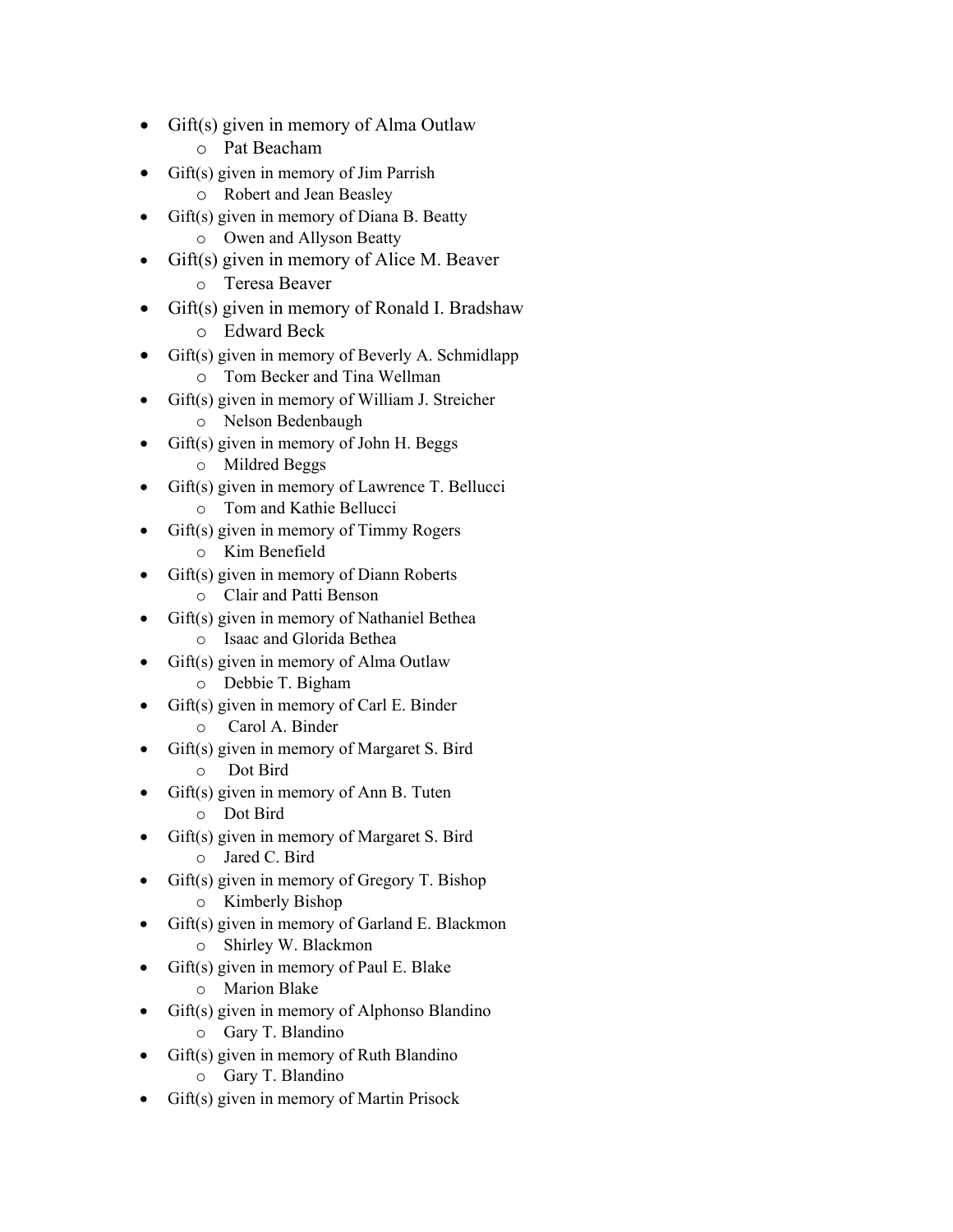- Gift(s) given in memory of Alma Outlaw
	- o Pat Beacham
- Gift(s) given in memory of Jim Parrish
	- o Robert and Jean Beasley
- Gift(s) given in memory of Diana B. Beatty
	- o Owen and Allyson Beatty
- Gift(s) given in memory of Alice M. Beaver
	- o Teresa Beaver
- Gift(s) given in memory of Ronald I. Bradshaw o Edward Beck
- Gift(s) given in memory of Beverly A. Schmidlapp o Tom Becker and Tina Wellman
- Gift(s) given in memory of William J. Streicher
	- o Nelson Bedenbaugh
- Gift(s) given in memory of John H. Beggs
	- o Mildred Beggs
- Gift(s) given in memory of Lawrence T. Bellucci o Tom and Kathie Bellucci
- Gift(s) given in memory of Timmy Rogers
	- o Kim Benefield
- Gift(s) given in memory of Diann Roberts
	- o Clair and Patti Benson
- Gift(s) given in memory of Nathaniel Bethea o Isaac and Glorida Bethea
- Gift(s) given in memory of Alma Outlaw
	- o Debbie T. Bigham
- Gift(s) given in memory of Carl E. Binder
	- o Carol A. Binder
- Gift(s) given in memory of Margaret S. Bird o Dot Bird
- $Giff(s)$  given in memory of Ann B. Tuten
	- o Dot Bird
- Gift(s) given in memory of Margaret S. Bird
	- o Jared C. Bird
- Gift(s) given in memory of Gregory T. Bishop
	- o Kimberly Bishop
- Gift(s) given in memory of Garland E. Blackmon o Shirley W. Blackmon
- Gift(s) given in memory of Paul E. Blake
	- o Marion Blake
- Gift(s) given in memory of Alphonso Blandino
	- o Gary T. Blandino
- Gift(s) given in memory of Ruth Blandino
	- o Gary T. Blandino
- Gift(s) given in memory of Martin Prisock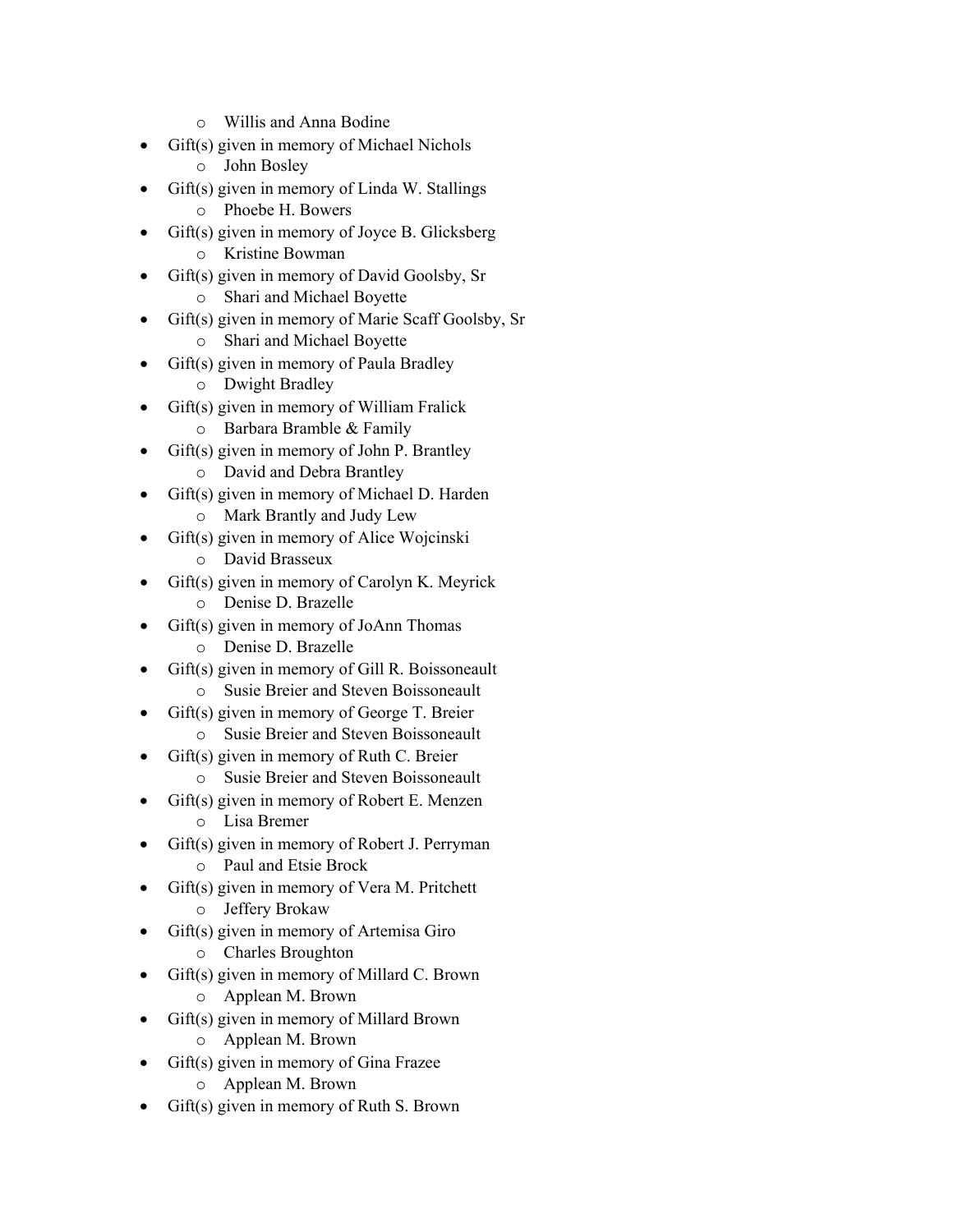- o Willis and Anna Bodine
- Gift(s) given in memory of Michael Nichols
	- o John Bosley
- Gift(s) given in memory of Linda W. Stallings
	- o Phoebe H. Bowers
- Gift(s) given in memory of Joyce B. Glicksberg o Kristine Bowman
- Gift(s) given in memory of David Goolsby, Sr
	- o Shari and Michael Boyette
- Gift(s) given in memory of Marie Scaff Goolsby, Sr
	- o Shari and Michael Boyette
- Gift(s) given in memory of Paula Bradley
	- o Dwight Bradley
- Gift(s) given in memory of William Fralick o Barbara Bramble & Family
- Gift(s) given in memory of John P. Brantley
	- o David and Debra Brantley
- Gift(s) given in memory of Michael D. Harden
	- o Mark Brantly and Judy Lew
- Gift(s) given in memory of Alice Wojcinski o David Brasseux
- Gift(s) given in memory of Carolyn K. Meyrick
	- o Denise D. Brazelle
- Gift(s) given in memory of JoAnn Thomas
	- o Denise D. Brazelle
- Gift(s) given in memory of Gill R. Boissoneault o Susie Breier and Steven Boissoneault
	- Gift(s) given in memory of George T. Breier
		- o Susie Breier and Steven Boissoneault
- Gift(s) given in memory of Ruth C. Breier
	- o Susie Breier and Steven Boissoneault
- Gift(s) given in memory of Robert E. Menzen
	- o Lisa Bremer
- Gift(s) given in memory of Robert J. Perryman
	- o Paul and Etsie Brock
- Gift(s) given in memory of Vera M. Pritchett
	- o Jeffery Brokaw
- Gift(s) given in memory of Artemisa Giro
	- o Charles Broughton
- Gift(s) given in memory of Millard C. Brown o Applean M. Brown
- Gift(s) given in memory of Millard Brown
	- o Applean M. Brown
- Gift(s) given in memory of Gina Frazee
	- o Applean M. Brown
- Gift(s) given in memory of Ruth S. Brown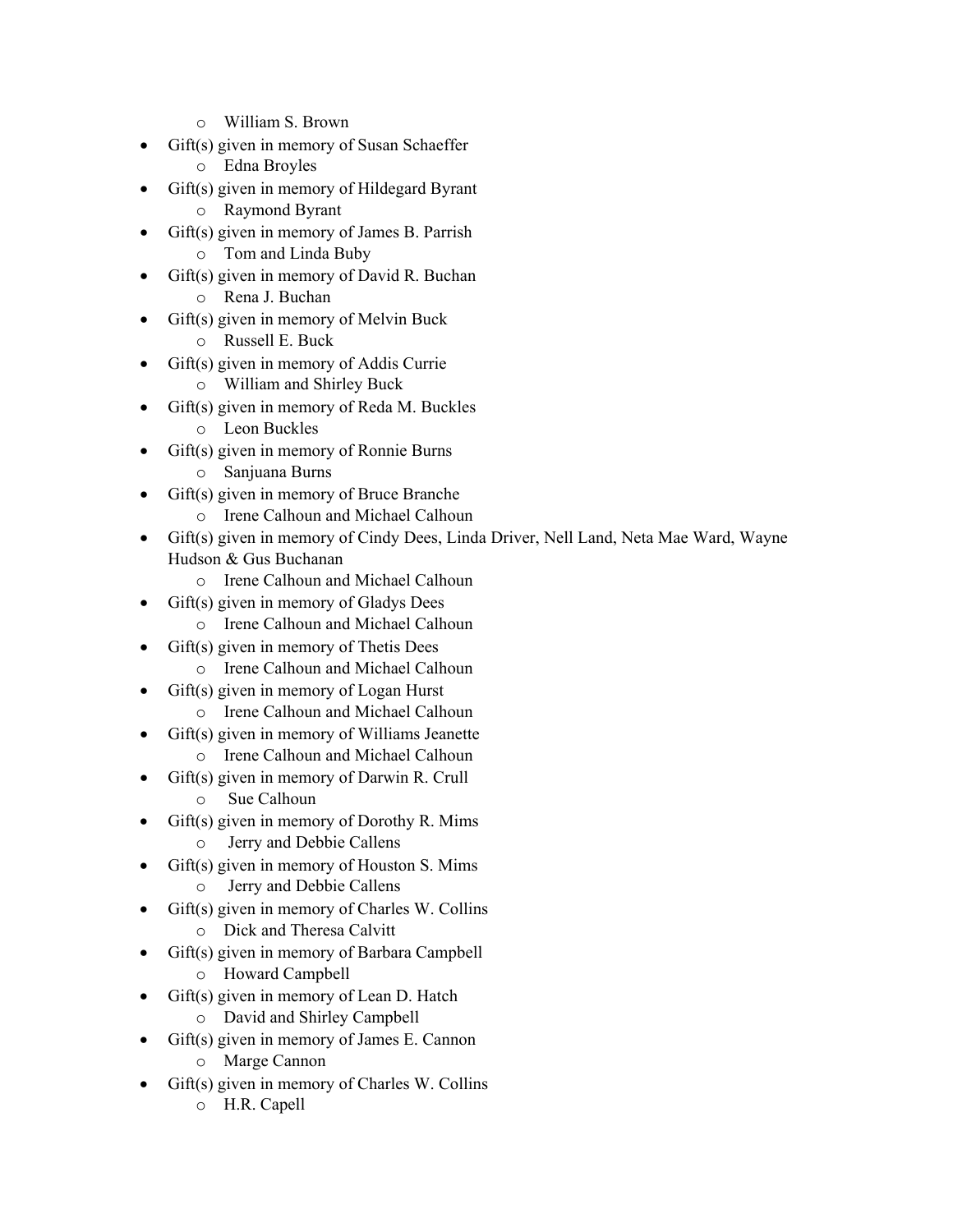- o William S. Brown
- Gift(s) given in memory of Susan Schaeffer
	- o Edna Broyles
- Gift(s) given in memory of Hildegard Byrant
	- o Raymond Byrant
- Gift(s) given in memory of James B. Parrish o Tom and Linda Buby
- Gift(s) given in memory of David R. Buchan
	- o Rena J. Buchan
- Gift(s) given in memory of Melvin Buck
	- o Russell E. Buck
- Gift(s) given in memory of Addis Currie
	- o William and Shirley Buck
	- Gift(s) given in memory of Reda M. Buckles o Leon Buckles
		-
- Gift(s) given in memory of Ronnie Burns
	- o Sanjuana Burns
- Gift(s) given in memory of Bruce Branche
	- o Irene Calhoun and Michael Calhoun
- Gift(s) given in memory of Cindy Dees, Linda Driver, Nell Land, Neta Mae Ward, Wayne Hudson & Gus Buchanan
	- o Irene Calhoun and Michael Calhoun
- Gift(s) given in memory of Gladys Dees
	- o Irene Calhoun and Michael Calhoun
- Gift(s) given in memory of Thetis Dees
	- o Irene Calhoun and Michael Calhoun
- Gift(s) given in memory of Logan Hurst
	- o Irene Calhoun and Michael Calhoun
- Gift(s) given in memory of Williams Jeanette
	- o Irene Calhoun and Michael Calhoun
- Gift(s) given in memory of Darwin R. Crull
	- o Sue Calhoun
- Gift(s) given in memory of Dorothy R. Mims o Jerry and Debbie Callens
- Gift(s) given in memory of Houston S. Mims
	- o Jerry and Debbie Callens
- Gift(s) given in memory of Charles W. Collins
	- o Dick and Theresa Calvitt
- Gift(s) given in memory of Barbara Campbell o Howard Campbell
- Gift(s) given in memory of Lean D. Hatch
	- o David and Shirley Campbell
- Gift(s) given in memory of James E. Cannon
	- o Marge Cannon
- Gift(s) given in memory of Charles W. Collins
	- o H.R. Capell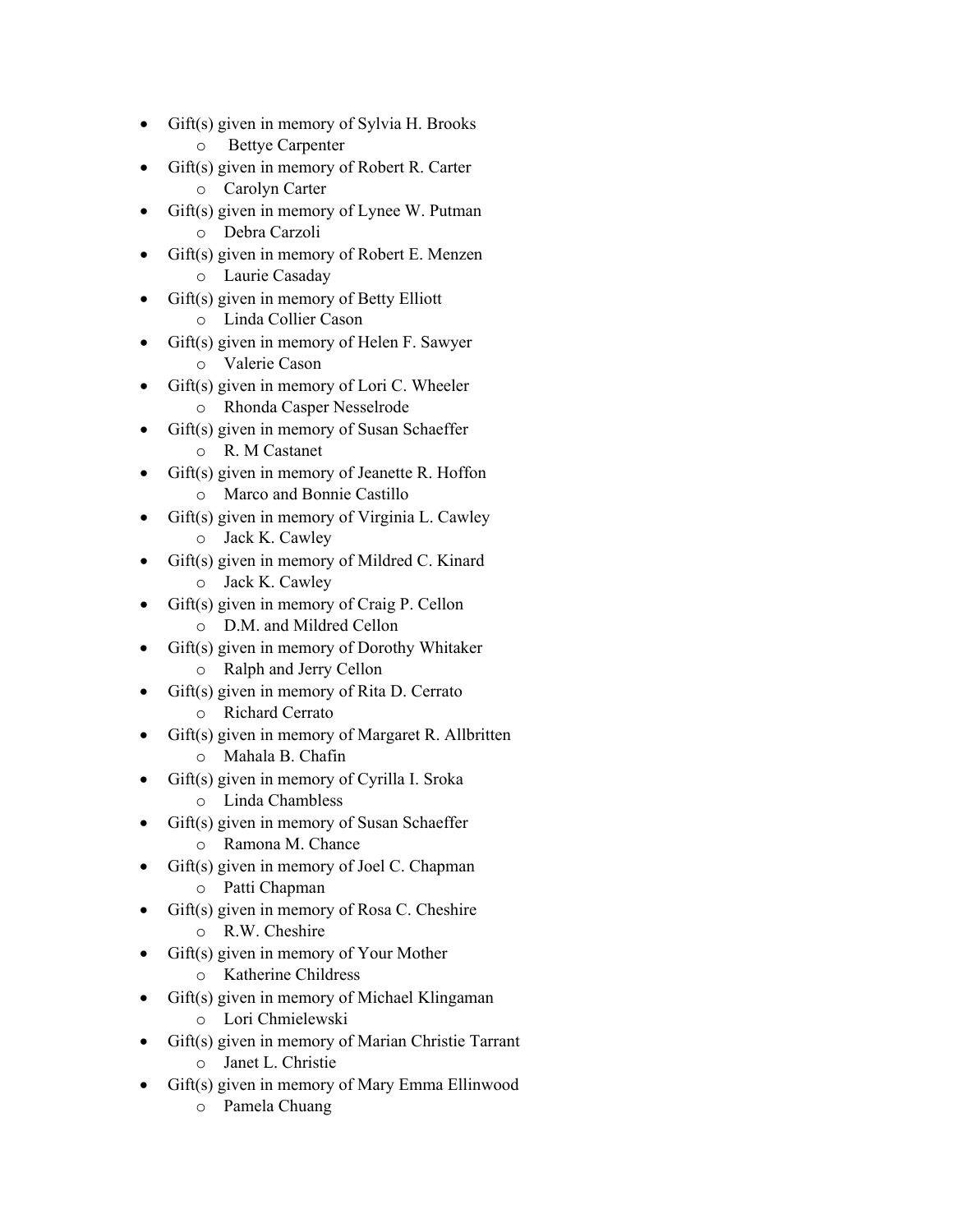- Gift(s) given in memory of Sylvia H. Brooks
	- o Bettye Carpenter
- Gift(s) given in memory of Robert R. Carter
	- o Carolyn Carter
- Gift(s) given in memory of Lynee W. Putman o Debra Carzoli
	- Gift(s) given in memory of Robert E. Menzen o Laurie Casaday
- Gift(s) given in memory of Betty Elliott
	- o Linda Collier Cason
- Gift(s) given in memory of Helen F. Sawyer
	- o Valerie Cason
- Gift(s) given in memory of Lori C. Wheeler o Rhonda Casper Nesselrode
- Gift(s) given in memory of Susan Schaeffer
	- o R. M Castanet
- Gift(s) given in memory of Jeanette R. Hoffon
	- o Marco and Bonnie Castillo
- Gift(s) given in memory of Virginia L. Cawley o Jack K. Cawley
- Gift(s) given in memory of Mildred C. Kinard o Jack K. Cawley
- Gift(s) given in memory of Craig P. Cellon
	- o D.M. and Mildred Cellon
- Gift(s) given in memory of Dorothy Whitaker
	- o Ralph and Jerry Cellon
- Gift(s) given in memory of Rita D. Cerrato o Richard Cerrato
- Gift(s) given in memory of Margaret R. Allbritten
	- o Mahala B. Chafin
- Gift(s) given in memory of Cyrilla I. Sroka
	- o Linda Chambless
- Gift(s) given in memory of Susan Schaeffer o Ramona M. Chance
- Gift(s) given in memory of Joel C. Chapman
	- o Patti Chapman
- Gift(s) given in memory of Rosa C. Cheshire
	- o R.W. Cheshire
- Gift(s) given in memory of Your Mother
	- o Katherine Childress
- Gift(s) given in memory of Michael Klingaman
	- o Lori Chmielewski
- Gift(s) given in memory of Marian Christie Tarrant
	- o Janet L. Christie
- Gift(s) given in memory of Mary Emma Ellinwood
	- o Pamela Chuang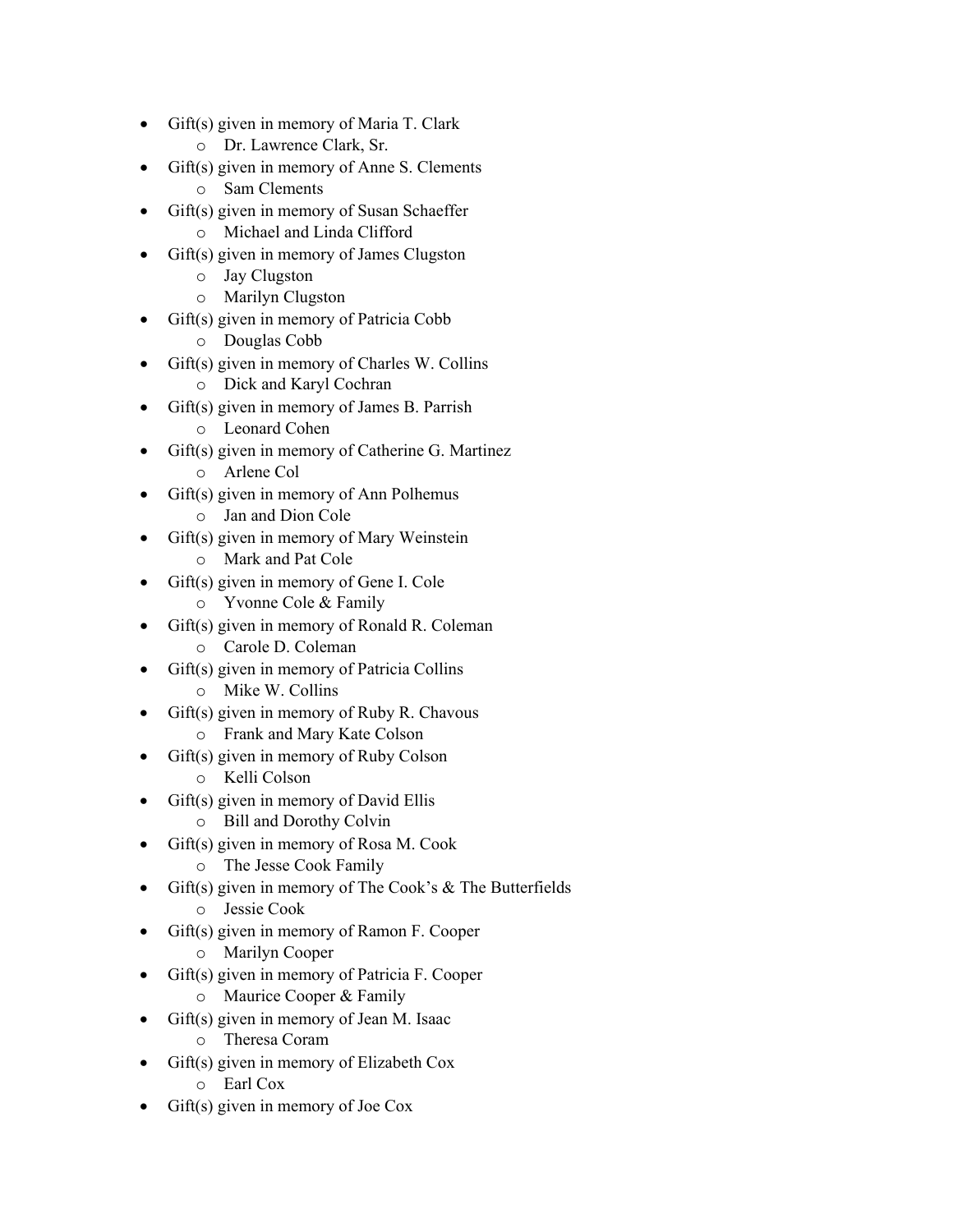- Gift(s) given in memory of Maria T. Clark
	- o Dr. Lawrence Clark, Sr.
- Gift(s) given in memory of Anne S. Clements
	- o Sam Clements
- Gift(s) given in memory of Susan Schaeffer o Michael and Linda Clifford
- Gift(s) given in memory of James Clugston
	- o Jay Clugston
	- o Marilyn Clugston
- Gift(s) given in memory of Patricia Cobb
	- o Douglas Cobb
- Gift(s) given in memory of Charles W. Collins
	- o Dick and Karyl Cochran
	- Gift(s) given in memory of James B. Parrish
		- o Leonard Cohen
- Gift(s) given in memory of Catherine G. Martinez
	- o Arlene Col
- Gift(s) given in memory of Ann Polhemus
	- o Jan and Dion Cole
- Gift(s) given in memory of Mary Weinstein o Mark and Pat Cole
- Gift(s) given in memory of Gene I. Cole
	- o Yvonne Cole & Family
- Gift(s) given in memory of Ronald R. Coleman
	- o Carole D. Coleman
- Gift(s) given in memory of Patricia Collins
	- o Mike W. Collins
- $\text{Gift}(s)$  given in memory of Ruby R. Chavous
	- o Frank and Mary Kate Colson
- Gift(s) given in memory of Ruby Colson
	- o Kelli Colson
- $Giff(s)$  given in memory of David Ellis
	- o Bill and Dorothy Colvin
- Gift(s) given in memory of Rosa M. Cook
	- o The Jesse Cook Family
- Gift(s) given in memory of The Cook's & The Butterfields
	- o Jessie Cook
- Gift(s) given in memory of Ramon F. Cooper
	- o Marilyn Cooper
- Gift(s) given in memory of Patricia F. Cooper
	- o Maurice Cooper & Family
- Gift(s) given in memory of Jean M. Isaac
	- o Theresa Coram
- Gift(s) given in memory of Elizabeth Cox
	- o Earl Cox
- Gift(s) given in memory of Joe Cox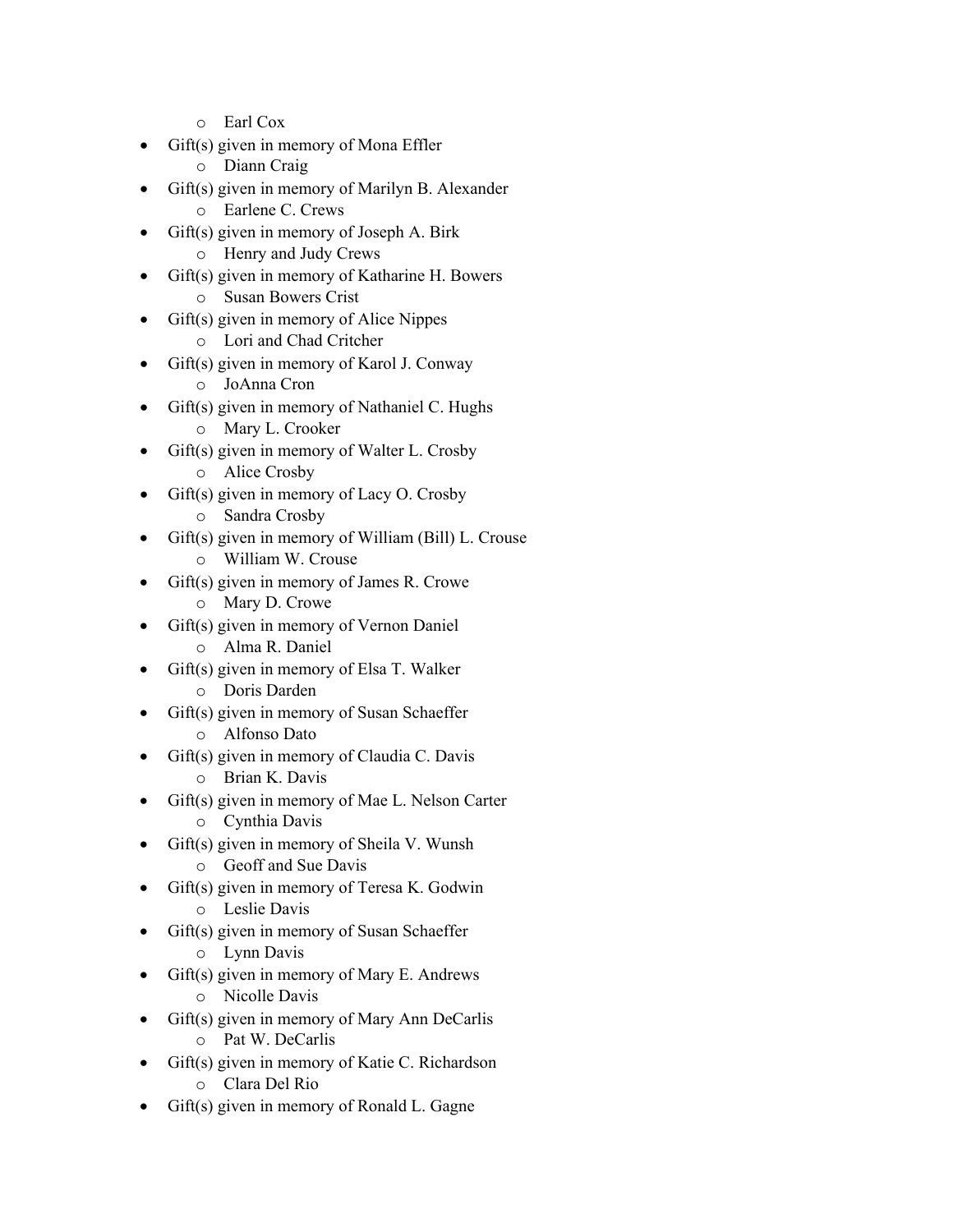- o Earl Cox
- Gift(s) given in memory of Mona Effler
	- o Diann Craig
- Gift(s) given in memory of Marilyn B. Alexander
	- o Earlene C. Crews
- Gift(s) given in memory of Joseph A. Birk o Henry and Judy Crews
- Gift(s) given in memory of Katharine H. Bowers
	- o Susan Bowers Crist
- Gift(s) given in memory of Alice Nippes
	- o Lori and Chad Critcher
- Gift(s) given in memory of Karol J. Conway
	- o JoAnna Cron
	- Gift(s) given in memory of Nathaniel C. Hughs
		- o Mary L. Crooker
- Gift(s) given in memory of Walter L. Crosby
	- o Alice Crosby
- Gift(s) given in memory of Lacy O. Crosby
	- o Sandra Crosby
- Gift(s) given in memory of William (Bill) L. Crouse o William W. Crouse
- Gift(s) given in memory of James R. Crowe
	- o Mary D. Crowe
- Gift(s) given in memory of Vernon Daniel
	- o Alma R. Daniel
- Gift(s) given in memory of Elsa T. Walker
	- o Doris Darden
- Gift(s) given in memory of Susan Schaeffer
	- o Alfonso Dato
- Gift(s) given in memory of Claudia C. Davis
	- o Brian K. Davis
- Gift(s) given in memory of Mae L. Nelson Carter
	- o Cynthia Davis
- Gift(s) given in memory of Sheila V. Wunsh
	- o Geoff and Sue Davis
- Gift(s) given in memory of Teresa K. Godwin
	- o Leslie Davis
- Gift(s) given in memory of Susan Schaeffer
	- o Lynn Davis
- Gift(s) given in memory of Mary E. Andrews o Nicolle Davis
- Gift(s) given in memory of Mary Ann DeCarlis
	- o Pat W. DeCarlis
- Gift(s) given in memory of Katie C. Richardson
	- o Clara Del Rio
- Gift(s) given in memory of Ronald L. Gagne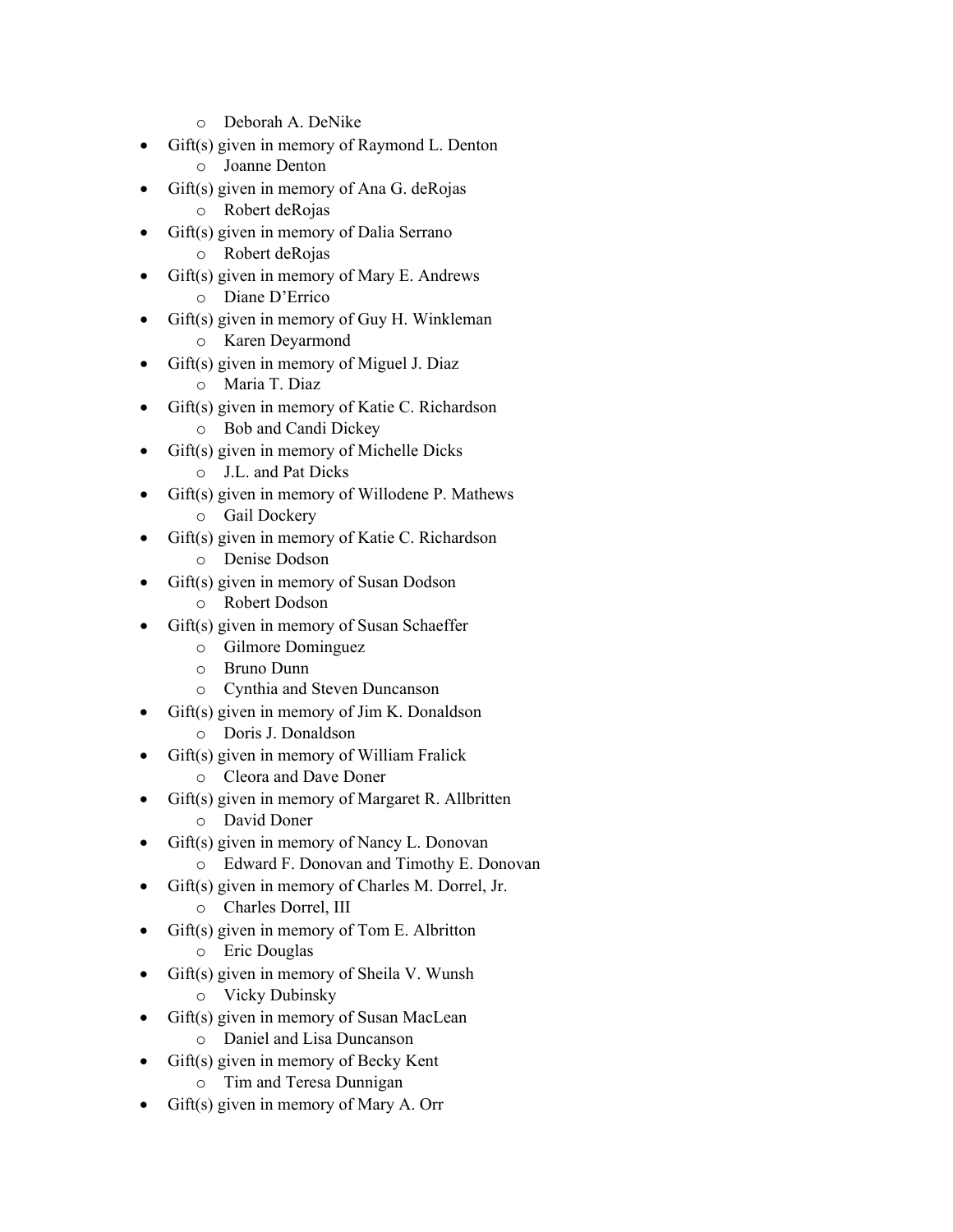- o Deborah A. DeNike
- Gift(s) given in memory of Raymond L. Denton
	- o Joanne Denton
- Gift(s) given in memory of Ana G. deRojas
	- o Robert deRojas
- Gift(s) given in memory of Dalia Serrano o Robert deRojas
- Gift(s) given in memory of Mary E. Andrews
	- o Diane D'Errico
- Gift(s) given in memory of Guy H. Winkleman
	- o Karen Deyarmond
- Gift(s) given in memory of Miguel J. Diaz
	- o Maria T. Diaz
	- Gift(s) given in memory of Katie C. Richardson o Bob and Candi Dickey
- Gift(s) given in memory of Michelle Dicks
	- o J.L. and Pat Dicks
- Gift(s) given in memory of Willodene P. Mathews
	- o Gail Dockery
- Gift(s) given in memory of Katie C. Richardson
	- o Denise Dodson
- Gift(s) given in memory of Susan Dodson
	- o Robert Dodson
- Gift(s) given in memory of Susan Schaeffer
	- o Gilmore Dominguez
	- o Bruno Dunn
	- o Cynthia and Steven Duncanson
- Gift(s) given in memory of Jim K. Donaldson
	- o Doris J. Donaldson
- Gift(s) given in memory of William Fralick
	- o Cleora and Dave Doner
- Gift(s) given in memory of Margaret R. Allbritten
	- o David Doner
- Gift(s) given in memory of Nancy L. Donovan
	- o Edward F. Donovan and Timothy E. Donovan
- Gift(s) given in memory of Charles M. Dorrel, Jr.
	- o Charles Dorrel, III
- Gift(s) given in memory of Tom E. Albritton
	- o Eric Douglas
	- Gift(s) given in memory of Sheila V. Wunsh
		- o Vicky Dubinsky
- Gift(s) given in memory of Susan MacLean
	- o Daniel and Lisa Duncanson
- Gift(s) given in memory of Becky Kent
	- o Tim and Teresa Dunnigan
- Gift(s) given in memory of Mary A. Orr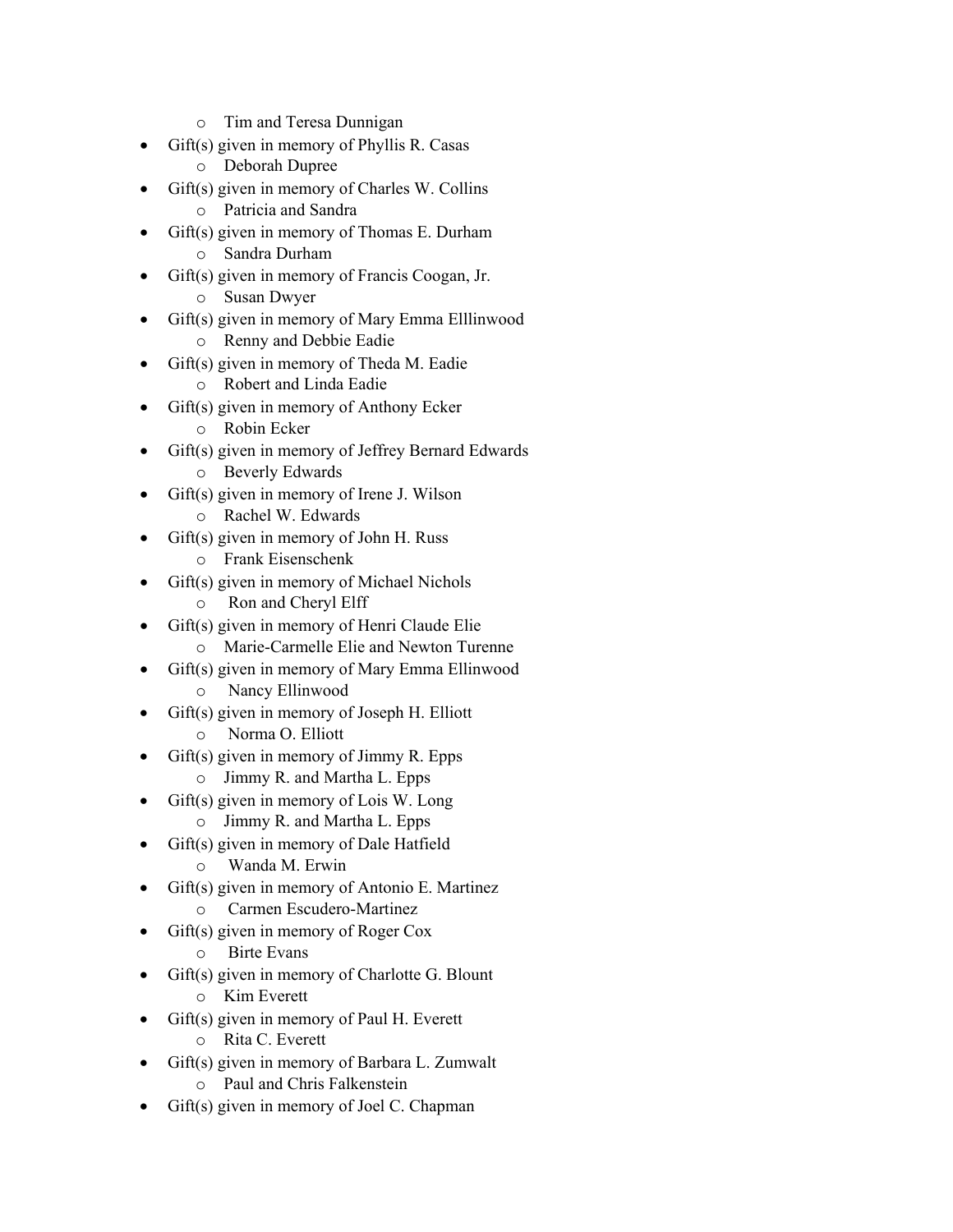- o Tim and Teresa Dunnigan
- Gift(s) given in memory of Phyllis R. Casas
	- o Deborah Dupree
- Gift(s) given in memory of Charles W. Collins
	- o Patricia and Sandra
- Gift(s) given in memory of Thomas E. Durham o Sandra Durham
- Gift(s) given in memory of Francis Coogan, Jr.
	- o Susan Dwyer
- Gift(s) given in memory of Mary Emma Elllinwood
	- o Renny and Debbie Eadie
- Gift(s) given in memory of Theda M. Eadie
	- o Robert and Linda Eadie
	- Gift(s) given in memory of Anthony Ecker
		- o Robin Ecker
- Gift(s) given in memory of Jeffrey Bernard Edwards
	- o Beverly Edwards
- Gift(s) given in memory of Irene J. Wilson
	- o Rachel W. Edwards
- Gift(s) given in memory of John H. Russ o Frank Eisenschenk
- Gift(s) given in memory of Michael Nichols
	- o Ron and Cheryl Elff
- Gift(s) given in memory of Henri Claude Elie
	- o Marie-Carmelle Elie and Newton Turenne
- Gift(s) given in memory of Mary Emma Ellinwood
	- o Nancy Ellinwood
- Gift(s) given in memory of Joseph H. Elliott
	- o Norma O. Elliott
- Gift(s) given in memory of Jimmy R. Epps
	- o Jimmy R. and Martha L. Epps
- $Giff(s)$  given in memory of Lois W. Long
	- o Jimmy R. and Martha L. Epps
- Gift(s) given in memory of Dale Hatfield
	- o Wanda M. Erwin
- Gift(s) given in memory of Antonio E. Martinez
	- o Carmen Escudero-Martinez
- Gift(s) given in memory of Roger Cox
	- o Birte Evans
- Gift(s) given in memory of Charlotte G. Blount o Kim Everett
- Gift(s) given in memory of Paul H. Everett
	- o Rita C. Everett
- Gift(s) given in memory of Barbara L. Zumwalt
	- o Paul and Chris Falkenstein
- Gift(s) given in memory of Joel C. Chapman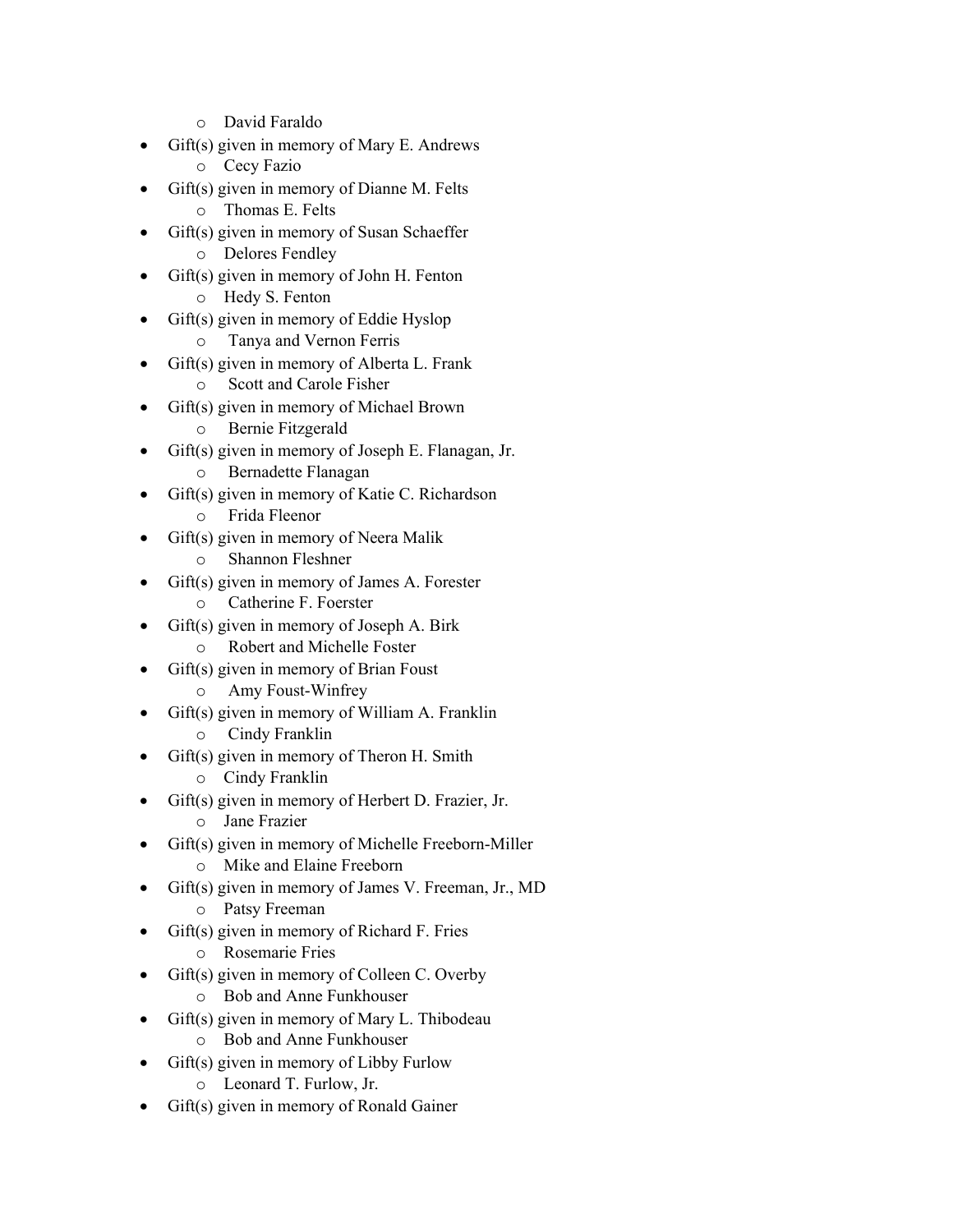- o David Faraldo
- Gift(s) given in memory of Mary E. Andrews
	- o Cecy Fazio
- Gift(s) given in memory of Dianne M. Felts
	- o Thomas E. Felts
- Gift(s) given in memory of Susan Schaeffer o Delores Fendley
- Gift(s) given in memory of John H. Fenton
	- o Hedy S. Fenton
- Gift(s) given in memory of Eddie Hyslop
	- o Tanya and Vernon Ferris
- Gift(s) given in memory of Alberta L. Frank
	- o Scott and Carole Fisher
- Gift(s) given in memory of Michael Brown
	- o Bernie Fitzgerald
- Gift(s) given in memory of Joseph E. Flanagan, Jr.
	- o Bernadette Flanagan
- Gift(s) given in memory of Katie C. Richardson
	- o Frida Fleenor
- Gift(s) given in memory of Neera Malik
	- o Shannon Fleshner
- Gift(s) given in memory of James A. Forester
	- o Catherine F. Foerster
- Gift(s) given in memory of Joseph A. Birk
	- o Robert and Michelle Foster
- Gift(s) given in memory of Brian Foust
	- o Amy Foust-Winfrey
- Gift(s) given in memory of William A. Franklin
	- o Cindy Franklin
- Gift(s) given in memory of Theron H. Smith
	- o Cindy Franklin
- Gift(s) given in memory of Herbert D. Frazier, Jr.
	- o Jane Frazier
- Gift(s) given in memory of Michelle Freeborn-Miller
	- o Mike and Elaine Freeborn
- Gift(s) given in memory of James V. Freeman, Jr., MD
	- o Patsy Freeman
- Gift(s) given in memory of Richard F. Fries
	- o Rosemarie Fries
- Gift(s) given in memory of Colleen C. Overby
	- o Bob and Anne Funkhouser
- Gift(s) given in memory of Mary L. Thibodeau
	- o Bob and Anne Funkhouser
- Gift(s) given in memory of Libby Furlow
	- o Leonard T. Furlow, Jr.
- Gift(s) given in memory of Ronald Gainer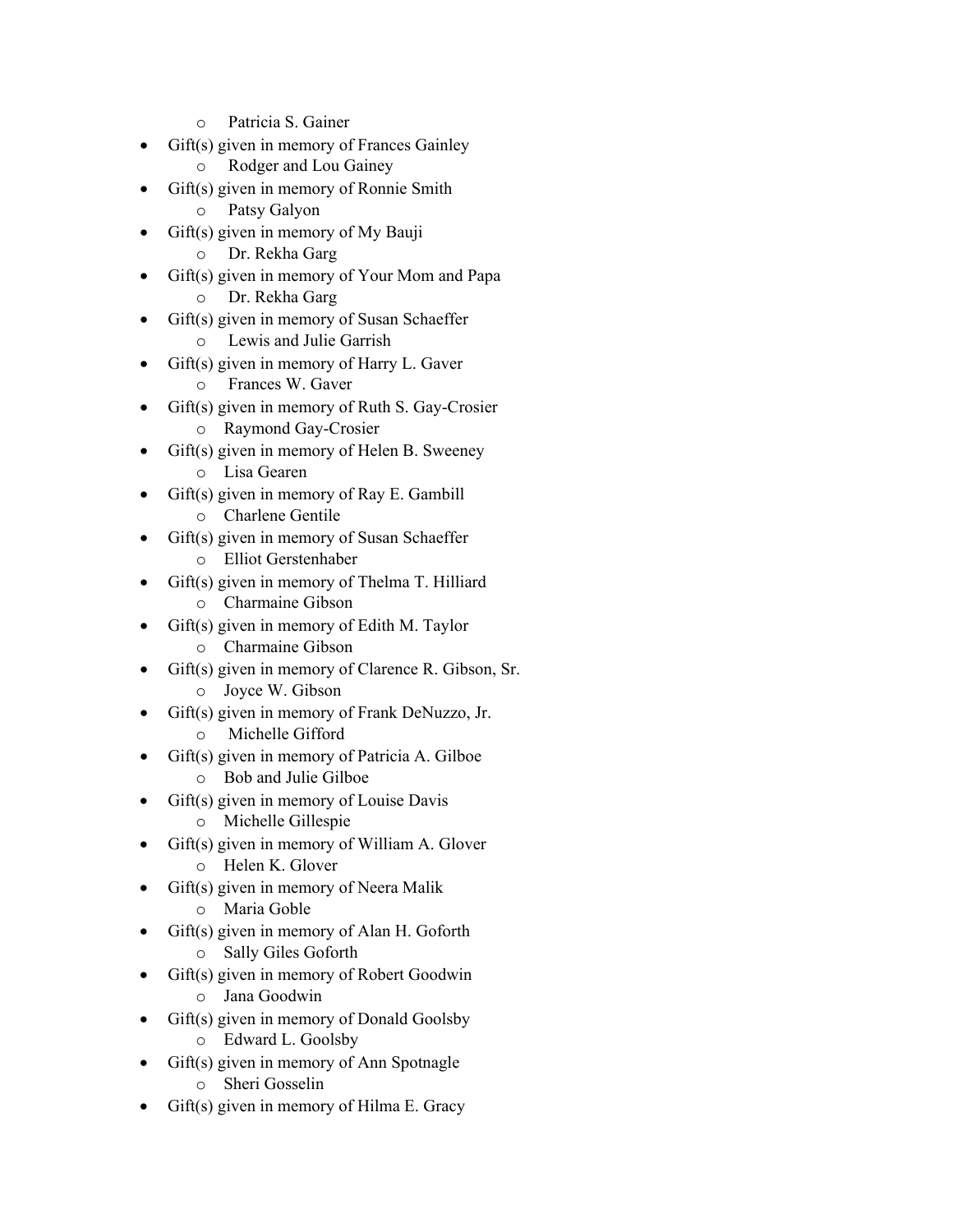- o Patricia S. Gainer
- Gift(s) given in memory of Frances Gainley
	- o Rodger and Lou Gainey
- Gift(s) given in memory of Ronnie Smith
	- o Patsy Galyon
- Gift(s) given in memory of My Bauji
	- o Dr. Rekha Garg
- Gift(s) given in memory of Your Mom and Papa
	- o Dr. Rekha Garg
- Gift(s) given in memory of Susan Schaeffer
	- o Lewis and Julie Garrish
- Gift(s) given in memory of Harry L. Gaver
	- o Frances W. Gaver
	- Gift(s) given in memory of Ruth S. Gay-Crosier o Raymond Gay-Crosier
- Gift(s) given in memory of Helen B. Sweeney
	- o Lisa Gearen
- Gift(s) given in memory of Ray E. Gambill
	- o Charlene Gentile
- Gift(s) given in memory of Susan Schaeffer o Elliot Gerstenhaber
- Gift(s) given in memory of Thelma T. Hilliard
	- o Charmaine Gibson
- Gift(s) given in memory of Edith M. Taylor
	- o Charmaine Gibson
- Gift(s) given in memory of Clarence R. Gibson, Sr.
	- o Joyce W. Gibson
- Gift(s) given in memory of Frank DeNuzzo, Jr.
	- o Michelle Gifford
- Gift(s) given in memory of Patricia A. Gilboe
	- o Bob and Julie Gilboe
- Gift(s) given in memory of Louise Davis
	- o Michelle Gillespie
- Gift(s) given in memory of William A. Glover
	- o Helen K. Glover
- Gift(s) given in memory of Neera Malik
	- o Maria Goble
- Gift(s) given in memory of Alan H. Goforth
	- o Sally Giles Goforth
- Gift(s) given in memory of Robert Goodwin o Jana Goodwin
- Gift(s) given in memory of Donald Goolsby
	- o Edward L. Goolsby
- Gift(s) given in memory of Ann Spotnagle
	- o Sheri Gosselin
- Gift(s) given in memory of Hilma E. Gracy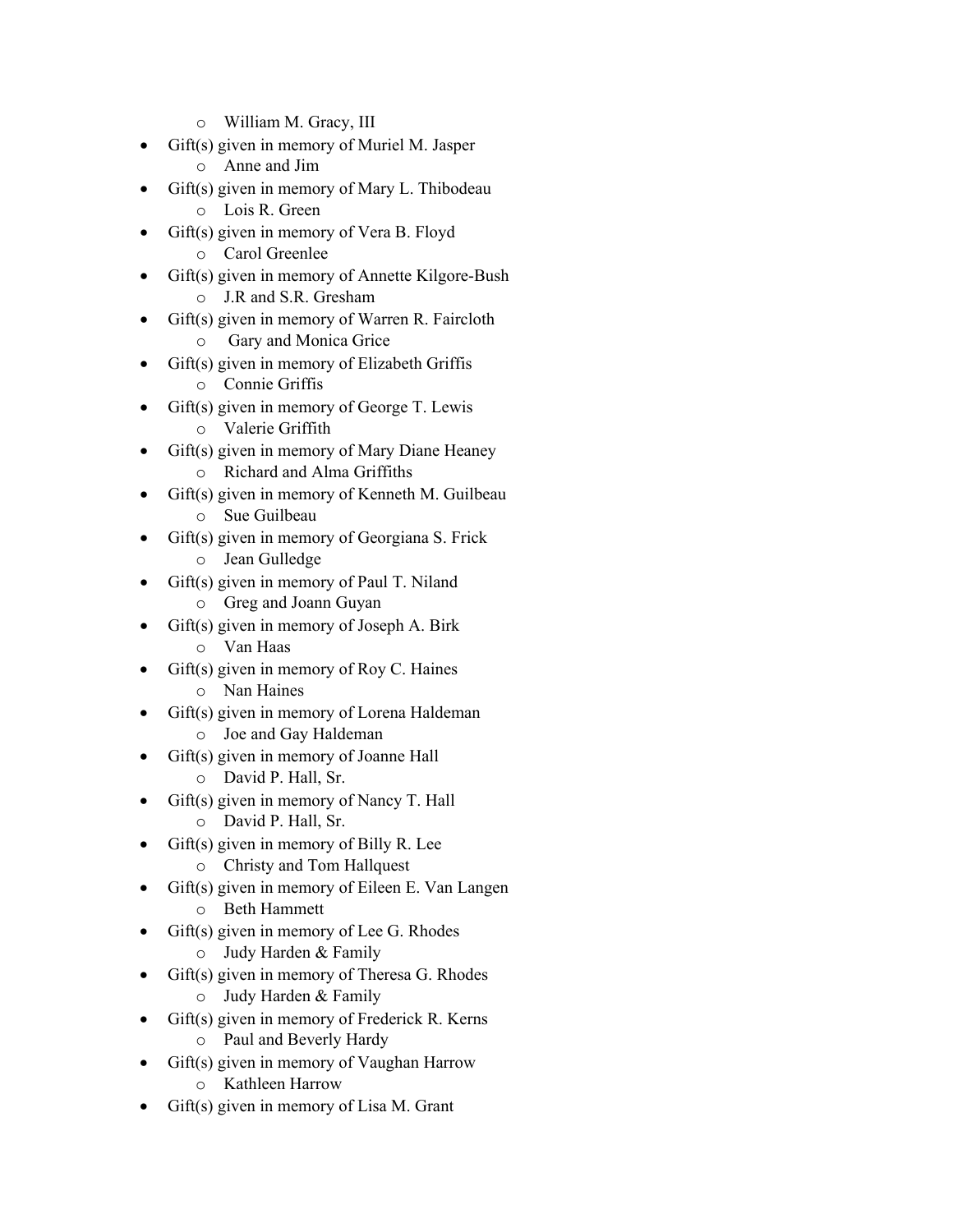- o William M. Gracy, III
- Gift(s) given in memory of Muriel M. Jasper
	- o Anne and Jim
- Gift(s) given in memory of Mary L. Thibodeau
	- o Lois R. Green
- Gift(s) given in memory of Vera B. Floyd o Carol Greenlee
- Gift(s) given in memory of Annette Kilgore-Bush
	- o J.R and S.R. Gresham
- Gift(s) given in memory of Warren R. Faircloth
	- o Gary and Monica Grice
- Gift(s) given in memory of Elizabeth Griffis
	- o Connie Griffis
	- Gift(s) given in memory of George T. Lewis o Valerie Griffith
- Gift(s) given in memory of Mary Diane Heaney
	- o Richard and Alma Griffiths
- Gift(s) given in memory of Kenneth M. Guilbeau
	- o Sue Guilbeau
- Gift(s) given in memory of Georgiana S. Frick o Jean Gulledge
- Gift(s) given in memory of Paul T. Niland
	- o Greg and Joann Guyan
- Gift(s) given in memory of Joseph A. Birk
	- o Van Haas
- $Giff(s)$  given in memory of Roy C. Haines
	- o Nan Haines
- Gift(s) given in memory of Lorena Haldeman
	- o Joe and Gay Haldeman
- Gift(s) given in memory of Joanne Hall
	- o David P. Hall, Sr.
- Gift(s) given in memory of Nancy T. Hall
	- o David P. Hall, Sr.
- $Giff(s)$  given in memory of Billy R. Lee
	- o Christy and Tom Hallquest
- Gift(s) given in memory of Eileen E. Van Langen
	- o Beth Hammett
- Gift(s) given in memory of Lee G. Rhodes
	- o Judy Harden & Family
- Gift(s) given in memory of Theresa G. Rhodes o Judy Harden & Family
- Gift(s) given in memory of Frederick R. Kerns
	- o Paul and Beverly Hardy
- Gift(s) given in memory of Vaughan Harrow
	- o Kathleen Harrow
- $Giff(s)$  given in memory of Lisa M. Grant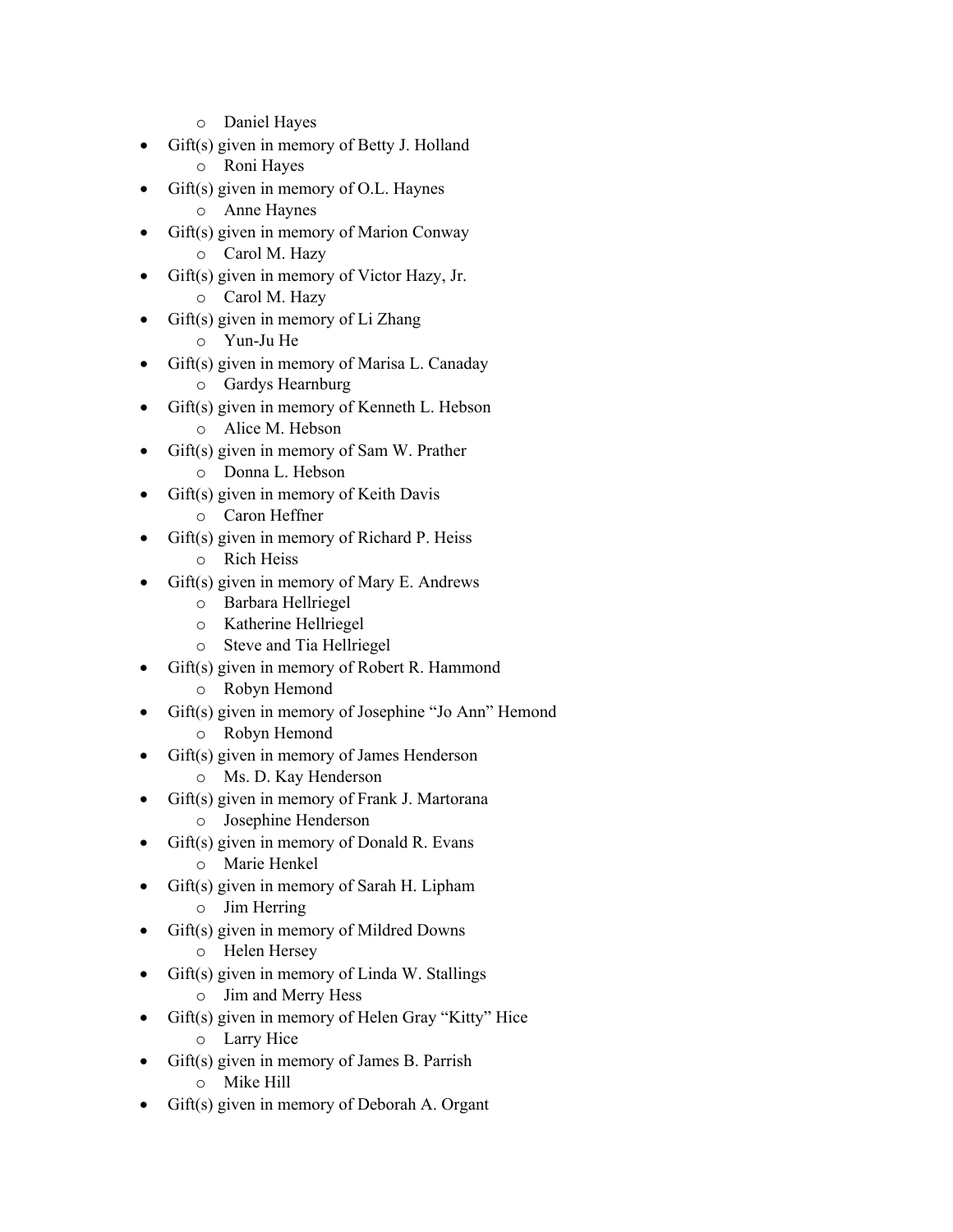- o Daniel Hayes
- Gift(s) given in memory of Betty J. Holland
	- o Roni Hayes
- $Giff(s)$  given in memory of O.L. Haynes
	- o Anne Haynes
- Gift(s) given in memory of Marion Conway o Carol M. Hazy
- Gift(s) given in memory of Victor Hazy, Jr.
	- o Carol M. Hazy
- Gift(s) given in memory of Li Zhang
	- o Yun-Ju He
- Gift(s) given in memory of Marisa L. Canaday
	- o Gardys Hearnburg
	- Gift(s) given in memory of Kenneth L. Hebson
		- o Alice M. Hebson
- Gift(s) given in memory of Sam W. Prather
	- o Donna L. Hebson
- Gift(s) given in memory of Keith Davis
	- o Caron Heffner
- Gift(s) given in memory of Richard P. Heiss o Rich Heiss
- Gift(s) given in memory of Mary E. Andrews
	- o Barbara Hellriegel
	- o Katherine Hellriegel
	- o Steve and Tia Hellriegel
- Gift(s) given in memory of Robert R. Hammond
	- o Robyn Hemond
- Gift(s) given in memory of Josephine "Jo Ann" Hemond
	- o Robyn Hemond
- Gift(s) given in memory of James Henderson
	- o Ms. D. Kay Henderson
- Gift(s) given in memory of Frank J. Martorana
	- o Josephine Henderson
- Gift(s) given in memory of Donald R. Evans
	- o Marie Henkel
- Gift(s) given in memory of Sarah H. Lipham
	- o Jim Herring
- Gift(s) given in memory of Mildred Downs
	- o Helen Hersey
	- Gift(s) given in memory of Linda W. Stallings
		- o Jim and Merry Hess
- Gift(s) given in memory of Helen Gray "Kitty" Hice
	- o Larry Hice
- Gift(s) given in memory of James B. Parrish
	- o Mike Hill
- Gift(s) given in memory of Deborah A. Organt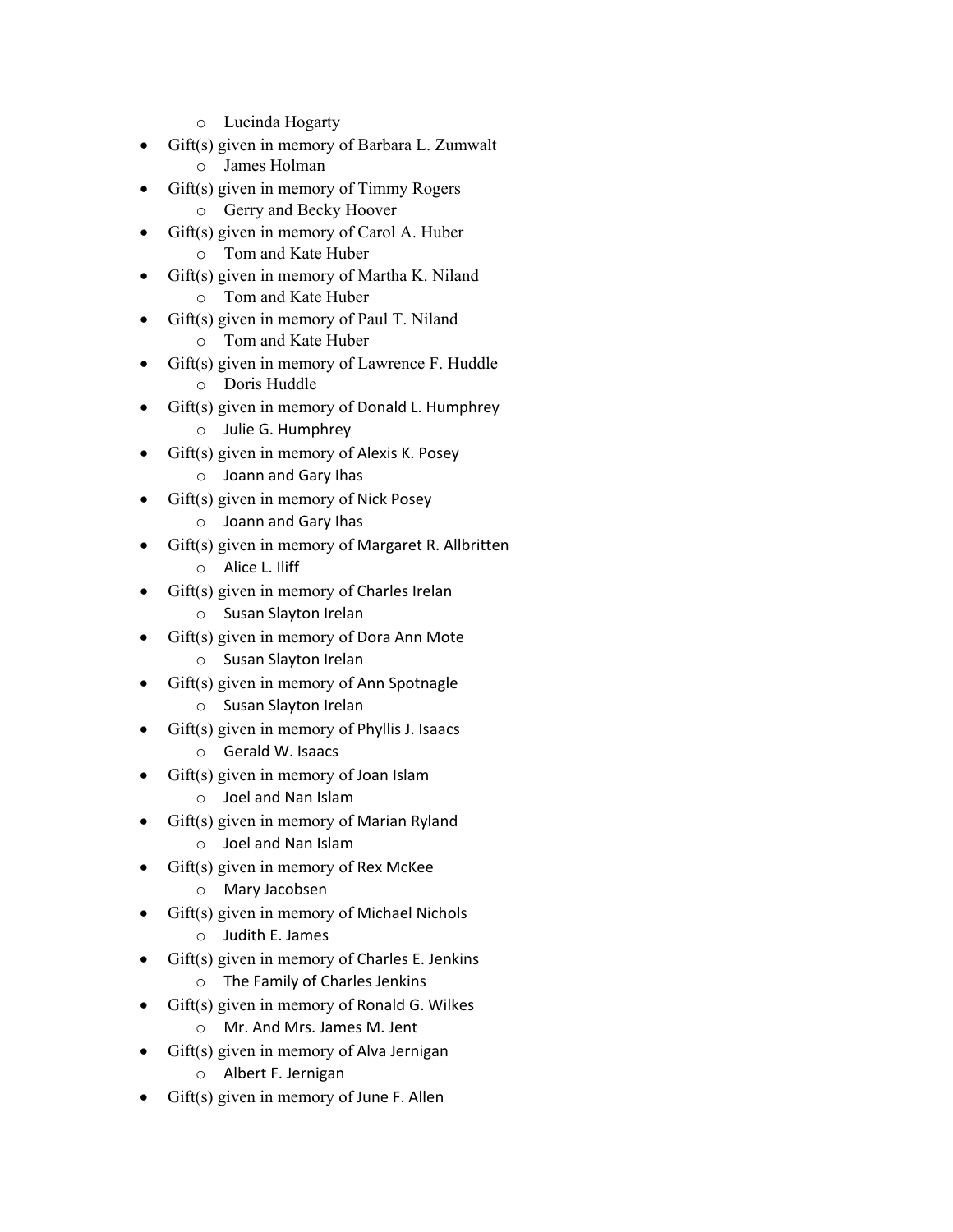- o Lucinda Hogarty
- Gift(s) given in memory of Barbara L. Zumwalt
	- o James Holman
- Gift(s) given in memory of Timmy Rogers
	- o Gerry and Becky Hoover
- Gift(s) given in memory of Carol A. Huber o Tom and Kate Huber
- Gift(s) given in memory of Martha K. Niland
	- o Tom and Kate Huber
- Gift(s) given in memory of Paul T. Niland
	- o Tom and Kate Huber
- Gift(s) given in memory of Lawrence F. Huddle
	- o Doris Huddle
	- Gift(s) given in memory of Donald L. Humphrey
		- o Julie G. Humphrey
- Gift(s) given in memory of Alexis K. Posey
	- o Joann and Gary Ihas
- Gift(s) given in memory of Nick Posey
	- o Joann and Gary Ihas
- Gift(s) given in memory of Margaret R. Allbritten
	- o Alice L. Iliff
- Gift(s) given in memory of Charles Irelan
	- o Susan Slayton Irelan
- Gift(s) given in memory of Dora Ann Mote
	- o Susan Slayton Irelan
- Gift(s) given in memory of Ann Spotnagle
	- o Susan Slayton Irelan
- $\bullet$  Gift(s) given in memory of Phyllis J. Isaacs
	- o Gerald W. Isaacs
- Gift(s) given in memory of Joan Islam
	- o Joel and Nan Islam
- Gift(s) given in memory of Marian Ryland
	- o Joel and Nan Islam
- Gift(s) given in memory of Rex McKee
	- o Mary Jacobsen
- Gift(s) given in memory of Michael Nichols
	- o Judith E. James
- $\bullet$  Gift(s) given in memory of Charles E. Jenkins
	- o The Family of Charles Jenkins
- $\bullet$  Gift(s) given in memory of Ronald G. Wilkes
	- o Mr. And Mrs. James M. Jent
- $\text{Gift}(s)$  given in memory of Alva Jernigan
	- o Albert F. Jernigan
- Gift(s) given in memory of June F. Allen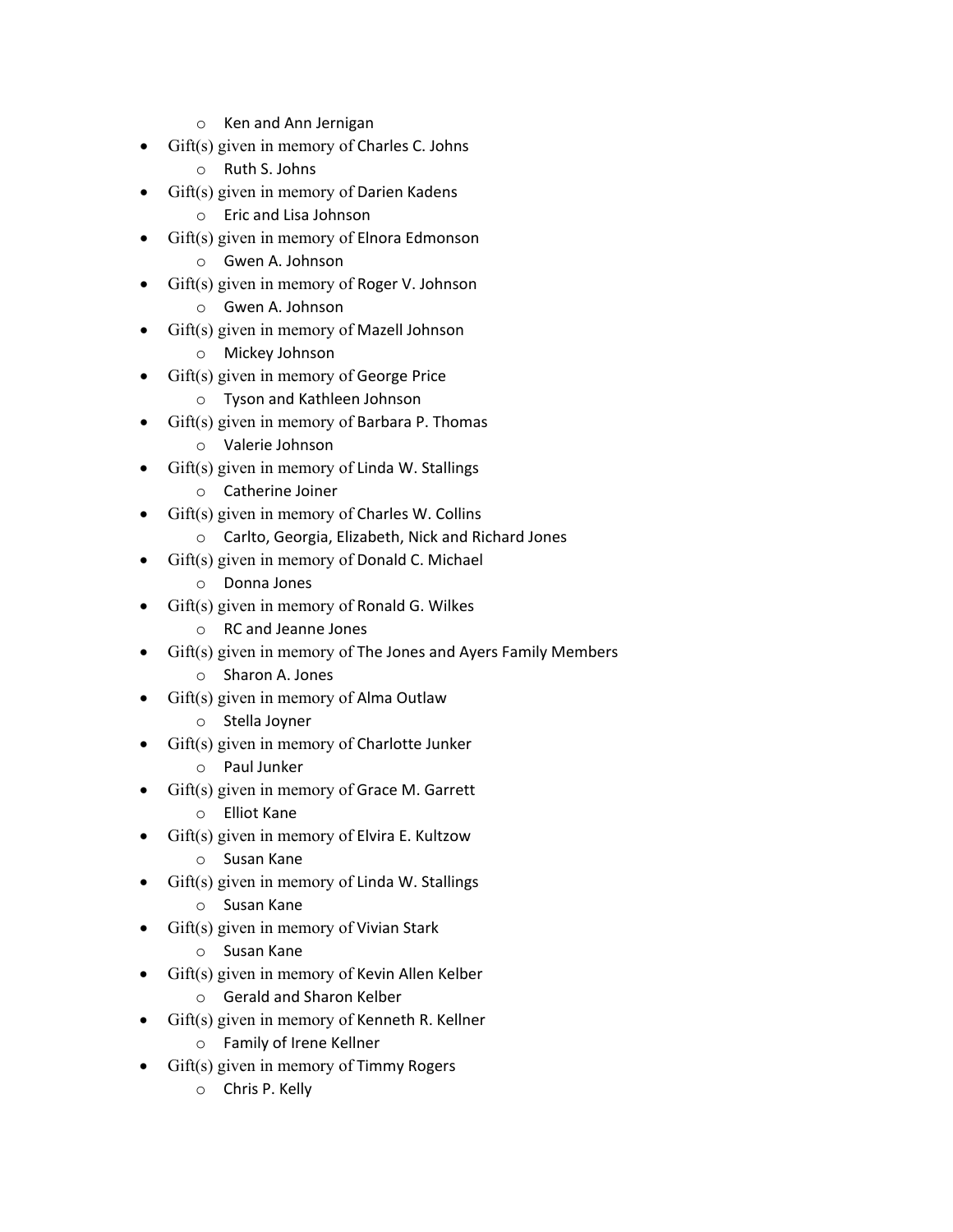- o Ken and Ann Jernigan
- Gift(s) given in memory of Charles C. Johns
	- o Ruth S. Johns
- Gift(s) given in memory of Darien Kadens
	- o Eric and Lisa Johnson
- Gift(s) given in memory of Elnora Edmonson
	- o Gwen A. Johnson
- Gift(s) given in memory of Roger V. Johnson
	- o Gwen A. Johnson
- Gift(s) given in memory of Mazell Johnson
	- o Mickey Johnson
- Gift(s) given in memory of George Price
	- o Tyson and Kathleen Johnson
- $\text{Gift}(s)$  given in memory of Barbara P. Thomas
	- o Valerie Johnson
- $\text{Gift}(s)$  given in memory of Linda W. Stallings
	- o Catherine Joiner
- Gift(s) given in memory of Charles W. Collins
	- o Carlto, Georgia, Elizabeth, Nick and Richard Jones
- Gift(s) given in memory of Donald C. Michael
	- o Donna Jones
- Gift(s) given in memory of Ronald G. Wilkes
	- o RC and Jeanne Jones
- Gift(s) given in memory of The Jones and Ayers Family Members
	- o Sharon A. Jones
- Gift(s) given in memory of Alma Outlaw
	- o Stella Joyner
- Gift(s) given in memory of Charlotte Junker
	- o Paul Junker
- Gift(s) given in memory of Grace M. Garrett
	- o Elliot Kane
- Gift(s) given in memory of Elvira E. Kultzow
	- o Susan Kane
- Gift(s) given in memory of Linda W. Stallings
	- o Susan Kane
- Gift(s) given in memory of Vivian Stark
	- o Susan Kane
- Gift(s) given in memory of Kevin Allen Kelber
	- o Gerald and Sharon Kelber
- Gift(s) given in memory of Kenneth R. Kellner
	- o Family of Irene Kellner
- Gift(s) given in memory of Timmy Rogers
	- o Chris P. Kelly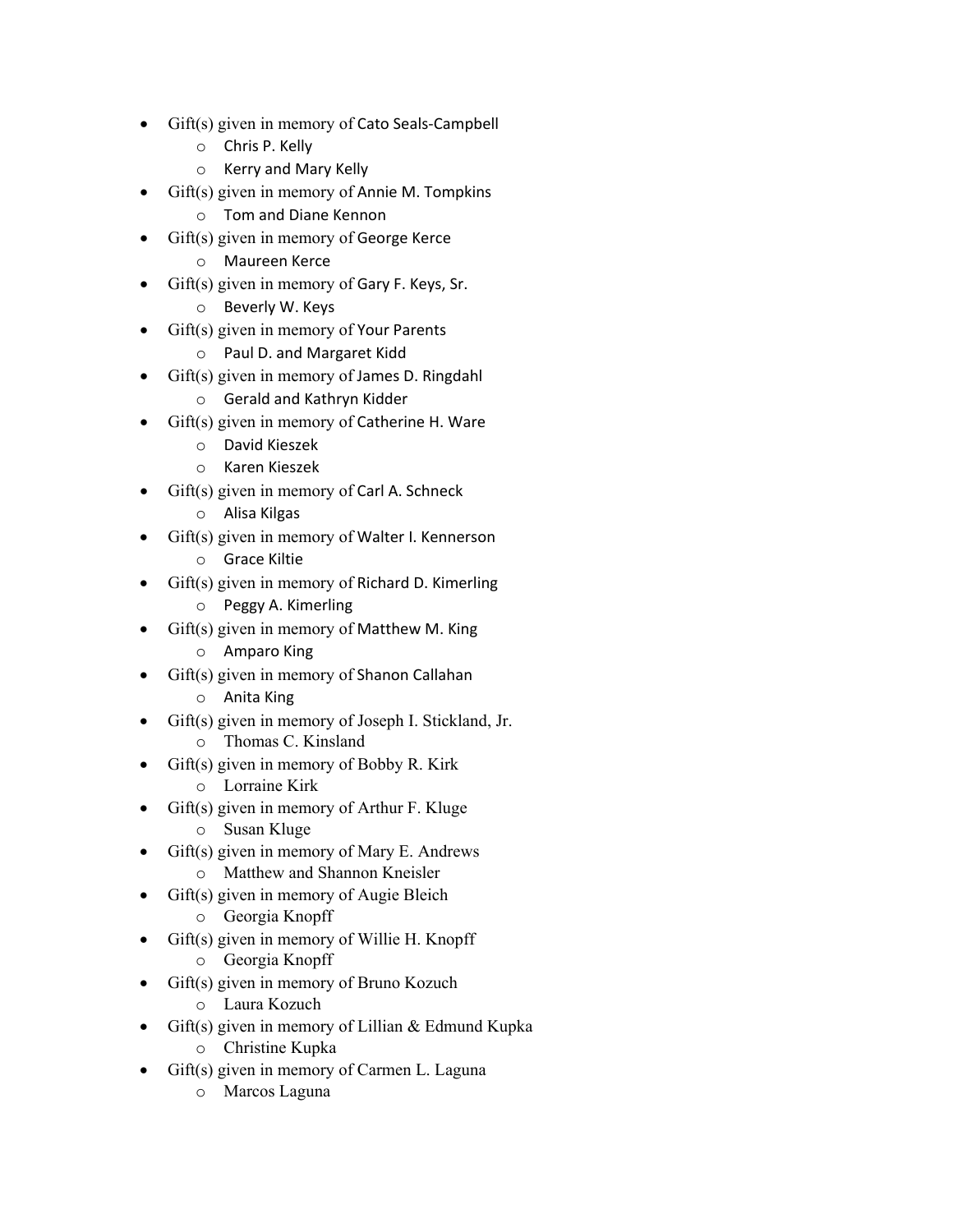- Gift(s) given in memory of Cato Seals-Campbell
	- o Chris P. Kelly
	- o Kerry and Mary Kelly
- Gift(s) given in memory of Annie M. Tompkins
	- o Tom and Diane Kennon
- Gift(s) given in memory of George Kerce
	- o Maureen Kerce
- Gift(s) given in memory of Gary F. Keys, Sr.
	- o Beverly W. Keys
- Gift(s) given in memory of Your Parents
	- o Paul D. and Margaret Kidd
- Gift(s) given in memory of James D. Ringdahl
	- o Gerald and Kathryn Kidder
- $\text{Gift}(s)$  given in memory of Catherine H. Ware
	- o David Kieszek
	- o Karen Kieszek
- Gift(s) given in memory of Carl A. Schneck
	- o Alisa Kilgas
- Gift(s) given in memory of Walter I. Kennerson
	- o Grace Kiltie
- Gift(s) given in memory of Richard D. Kimerling
	- o Peggy A. Kimerling
- Gift(s) given in memory of Matthew M. King
	- o Amparo King
- Gift(s) given in memory of Shanon Callahan
	- o Anita King
- Gift(s) given in memory of Joseph I. Stickland, Jr.
	- o Thomas C. Kinsland
- $\text{Gift}(s)$  given in memory of Bobby R. Kirk
	- o Lorraine Kirk
- Gift(s) given in memory of Arthur F. Kluge
	- o Susan Kluge
- Gift(s) given in memory of Mary E. Andrews o Matthew and Shannon Kneisler
- Gift(s) given in memory of Augie Bleich
	- o Georgia Knopff
- Gift(s) given in memory of Willie H. Knopff
	- o Georgia Knopff
- Gift(s) given in memory of Bruno Kozuch
	- o Laura Kozuch
- Gift(s) given in memory of Lillian & Edmund Kupka o Christine Kupka
- Gift(s) given in memory of Carmen L. Laguna
	- o Marcos Laguna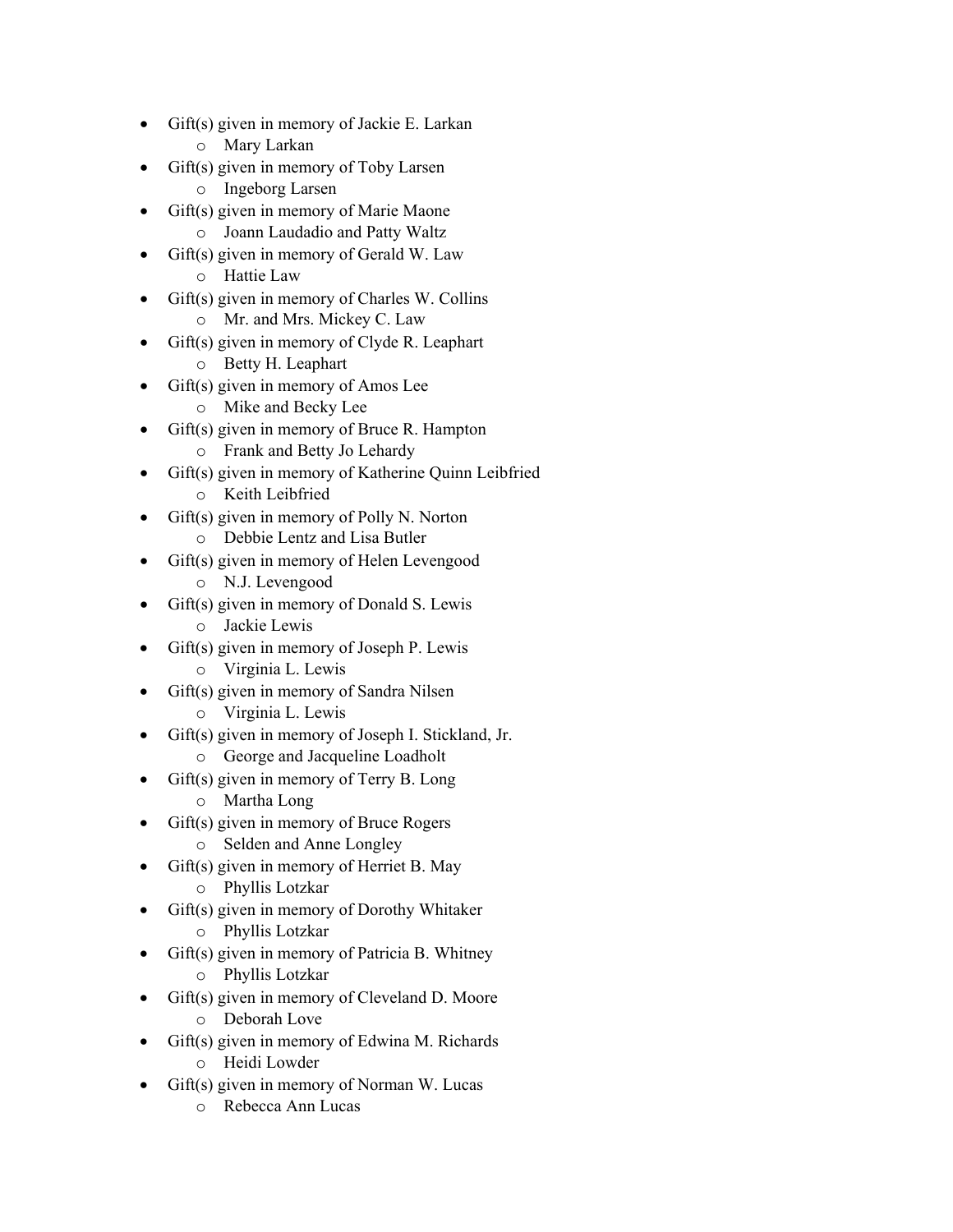- Gift(s) given in memory of Jackie E. Larkan
	- o Mary Larkan
- Gift(s) given in memory of Toby Larsen
	- o Ingeborg Larsen
- Gift(s) given in memory of Marie Maone o Joann Laudadio and Patty Waltz
	- $\text{Giff}(s)$  given in memory of Gerald W. Law
		- o Hattie Law
- Gift(s) given in memory of Charles W. Collins
	- o Mr. and Mrs. Mickey C. Law
- Gift(s) given in memory of Clyde R. Leaphart
	- o Betty H. Leaphart
- Gift(s) given in memory of Amos Lee
	- o Mike and Becky Lee
- Gift(s) given in memory of Bruce R. Hampton
	- o Frank and Betty Jo Lehardy
- Gift(s) given in memory of Katherine Quinn Leibfried
	- o Keith Leibfried
- Gift(s) given in memory of Polly N. Norton
	- o Debbie Lentz and Lisa Butler
	- Gift(s) given in memory of Helen Levengood
		- o N.J. Levengood
- Gift(s) given in memory of Donald S. Lewis
	- o Jackie Lewis
- Gift(s) given in memory of Joseph P. Lewis
	- o Virginia L. Lewis
- Gift(s) given in memory of Sandra Nilsen
	- o Virginia L. Lewis
- Gift(s) given in memory of Joseph I. Stickland, Jr.
	- o George and Jacqueline Loadholt
- Gift(s) given in memory of Terry B. Long
	- o Martha Long
- Gift(s) given in memory of Bruce Rogers o Selden and Anne Longley
- Gift(s) given in memory of Herriet B. May
	- o Phyllis Lotzkar
- Gift(s) given in memory of Dorothy Whitaker
	- o Phyllis Lotzkar
- Gift(s) given in memory of Patricia B. Whitney o Phyllis Lotzkar
- Gift(s) given in memory of Cleveland D. Moore o Deborah Love
- Gift(s) given in memory of Edwina M. Richards
	- o Heidi Lowder
- Gift(s) given in memory of Norman W. Lucas
	- o Rebecca Ann Lucas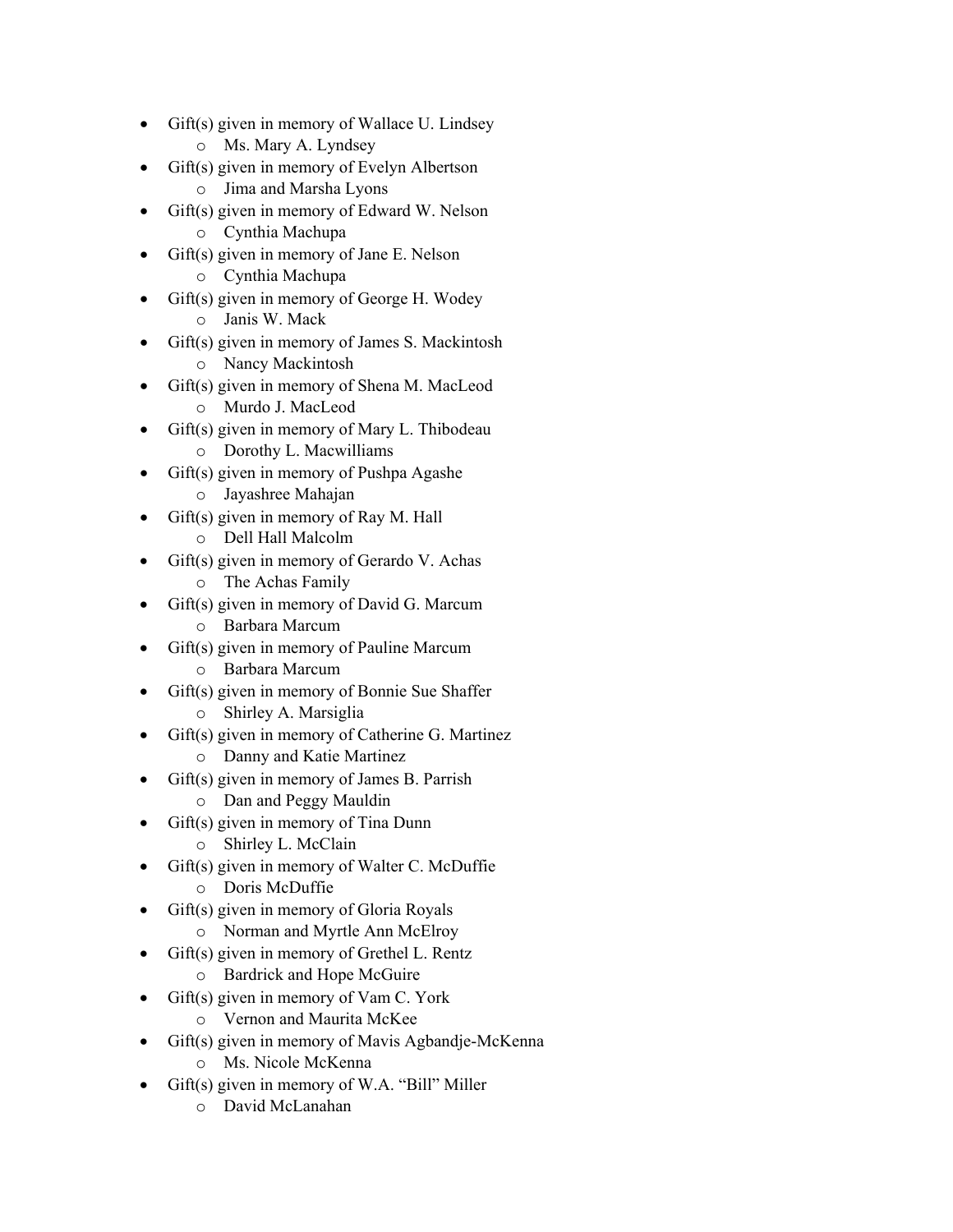- Gift(s) given in memory of Wallace U. Lindsey
	- o Ms. Mary A. Lyndsey
- Gift(s) given in memory of Evelyn Albertson
	- o Jima and Marsha Lyons
- Gift(s) given in memory of Edward W. Nelson o Cynthia Machupa
	- Gift(s) given in memory of Jane E. Nelson
		- o Cynthia Machupa
- Gift(s) given in memory of George H. Wodey
	- o Janis W. Mack
- Gift(s) given in memory of James S. Mackintosh
	- o Nancy Mackintosh
- Gift(s) given in memory of Shena M. MacLeod o Murdo J. MacLeod
- Gift(s) given in memory of Mary L. Thibodeau
	- o Dorothy L. Macwilliams
- Gift(s) given in memory of Pushpa Agashe
	- o Jayashree Mahajan
- $Giff(s)$  given in memory of Ray M. Hall
	- o Dell Hall Malcolm
	- Gift(s) given in memory of Gerardo V. Achas
		- o The Achas Family
- Gift(s) given in memory of David G. Marcum
	- o Barbara Marcum
- Gift(s) given in memory of Pauline Marcum
	- o Barbara Marcum
- Gift(s) given in memory of Bonnie Sue Shaffer o Shirley A. Marsiglia
- Gift(s) given in memory of Catherine G. Martinez
	- o Danny and Katie Martinez
- Gift(s) given in memory of James B. Parrish
	- o Dan and Peggy Mauldin
- Gift(s) given in memory of Tina Dunn
	- o Shirley L. McClain
- Gift(s) given in memory of Walter C. McDuffie
	- o Doris McDuffie
- Gift(s) given in memory of Gloria Royals
	- o Norman and Myrtle Ann McElroy
- Gift(s) given in memory of Grethel L. Rentz
	- o Bardrick and Hope McGuire
- Gift(s) given in memory of Vam C. York
	- o Vernon and Maurita McKee
- Gift(s) given in memory of Mavis Agbandje-McKenna
	- o Ms. Nicole McKenna
- Gift(s) given in memory of W.A. "Bill" Miller
	- o David McLanahan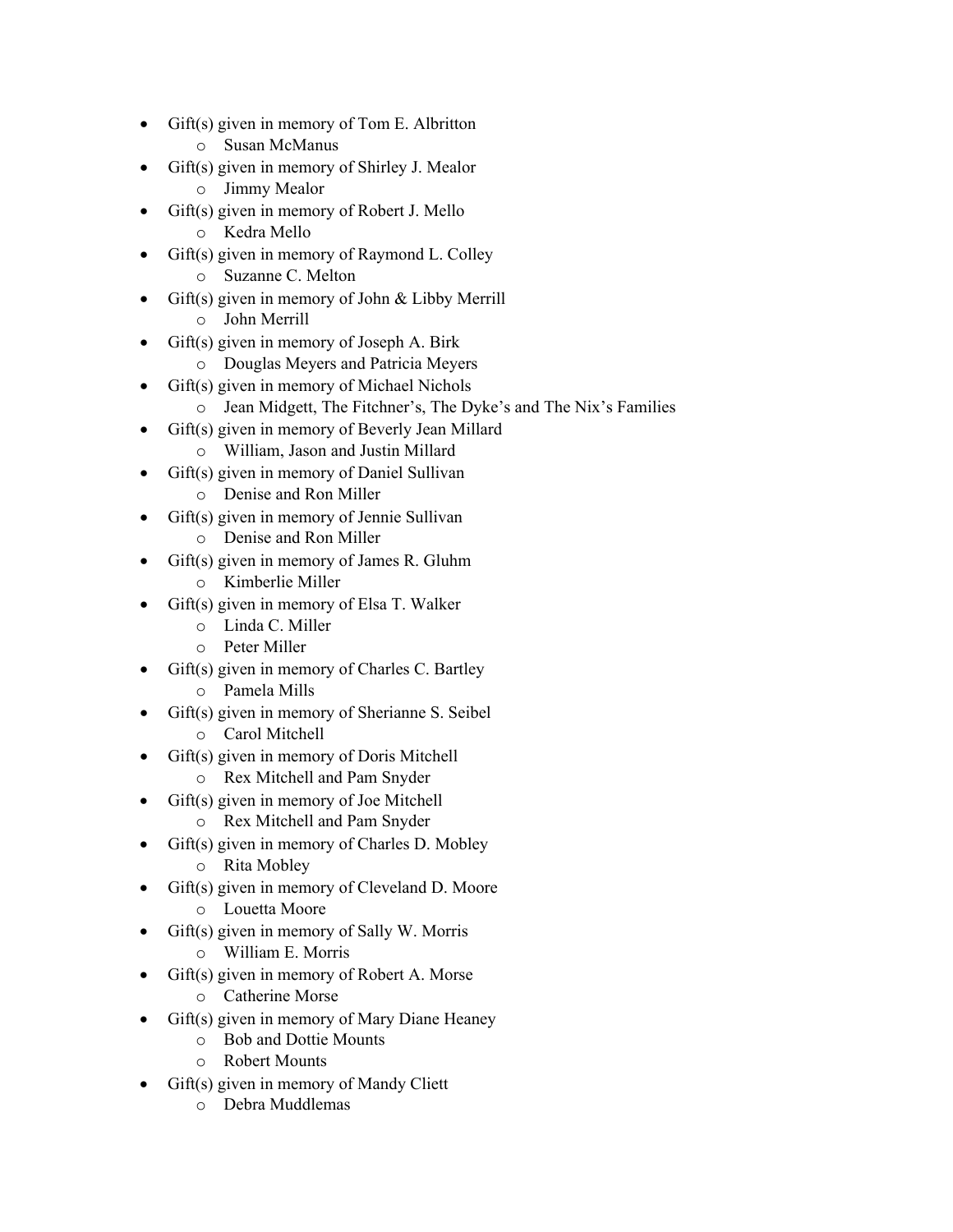- Gift(s) given in memory of Tom E. Albritton
	- o Susan McManus
- Gift(s) given in memory of Shirley J. Mealor
	- o Jimmy Mealor
- Gift(s) given in memory of Robert J. Mello
	- o Kedra Mello
	- Gift(s) given in memory of Raymond L. Colley
		- o Suzanne C. Melton
- Gift(s) given in memory of John & Libby Merrill
	- o John Merrill
- Gift(s) given in memory of Joseph A. Birk
	- o Douglas Meyers and Patricia Meyers
- Gift(s) given in memory of Michael Nichols
	- o Jean Midgett, The Fitchner's, The Dyke's and The Nix's Families
- Gift(s) given in memory of Beverly Jean Millard
	- o William, Jason and Justin Millard
- Gift(s) given in memory of Daniel Sullivan
	- o Denise and Ron Miller
- Gift(s) given in memory of Jennie Sullivan
	- o Denise and Ron Miller
	- Gift(s) given in memory of James R. Gluhm
		- o Kimberlie Miller
- Gift(s) given in memory of Elsa T. Walker
	- o Linda C. Miller
	- o Peter Miller
- Gift(s) given in memory of Charles C. Bartley
	- o Pamela Mills
- Gift(s) given in memory of Sherianne S. Seibel
	- o Carol Mitchell
- Gift(s) given in memory of Doris Mitchell
	- o Rex Mitchell and Pam Snyder
- Gift(s) given in memory of Joe Mitchell
	- o Rex Mitchell and Pam Snyder
- Gift(s) given in memory of Charles D. Mobley o Rita Mobley
- Gift(s) given in memory of Cleveland D. Moore
	- o Louetta Moore
- Gift(s) given in memory of Sally W. Morris
	- o William E. Morris
- Gift(s) given in memory of Robert A. Morse
	- o Catherine Morse
- Gift(s) given in memory of Mary Diane Heaney
	- o Bob and Dottie Mounts
	- o Robert Mounts
- Gift(s) given in memory of Mandy Cliett
	- o Debra Muddlemas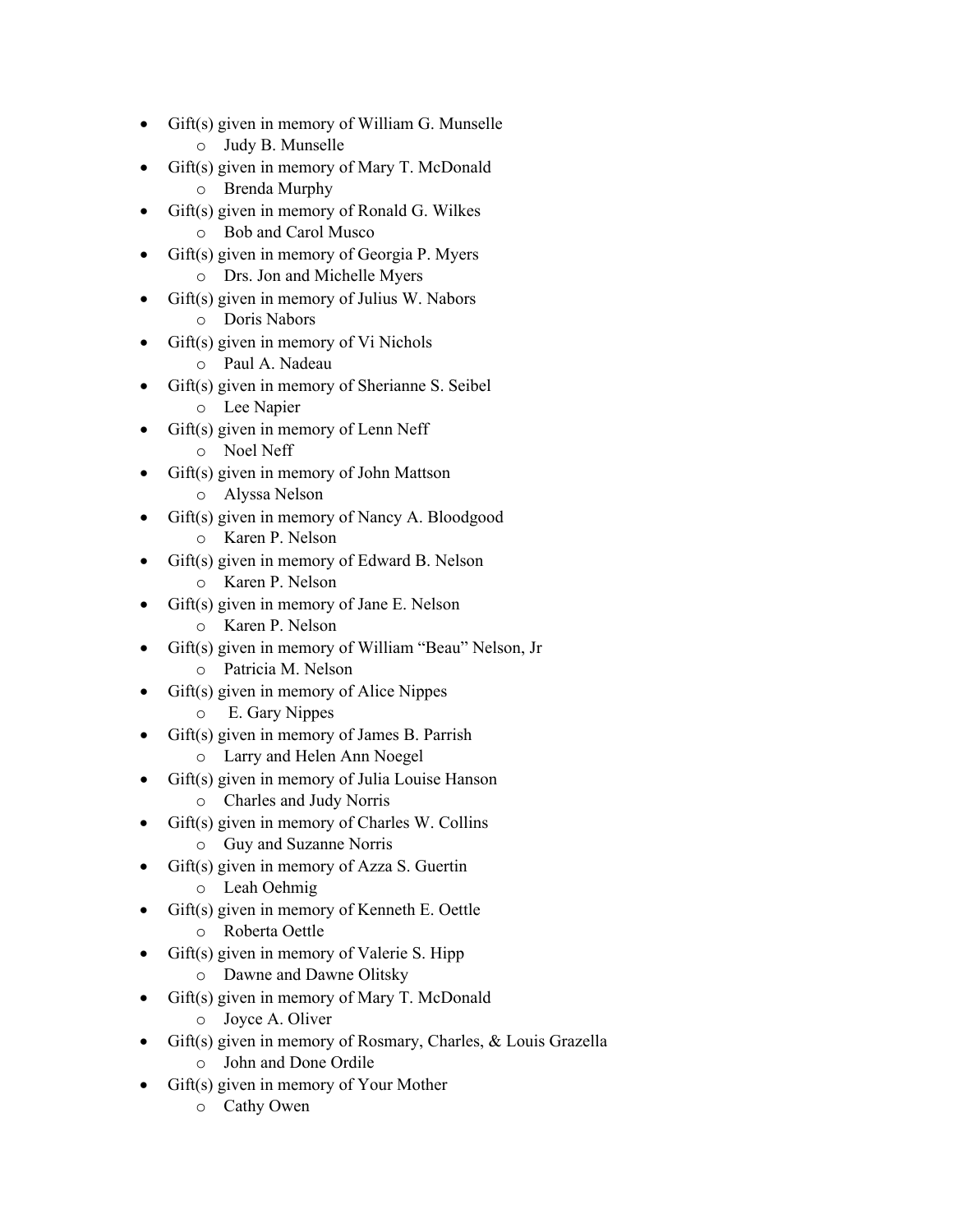- Gift(s) given in memory of William G. Munselle
	- o Judy B. Munselle
- Gift(s) given in memory of Mary T. McDonald
	- o Brenda Murphy
- Gift(s) given in memory of Ronald G. Wilkes o Bob and Carol Musco
- Gift(s) given in memory of Georgia P. Myers o Drs. Jon and Michelle Myers
- Gift(s) given in memory of Julius W. Nabors
	- o Doris Nabors
- Gift(s) given in memory of Vi Nichols
	- o Paul A. Nadeau
- Gift(s) given in memory of Sherianne S. Seibel o Lee Napier
- Gift(s) given in memory of Lenn Neff
	- o Noel Neff
- Gift(s) given in memory of John Mattson
	- o Alyssa Nelson
- Gift(s) given in memory of Nancy A. Bloodgood o Karen P. Nelson
	-
	- Gift(s) given in memory of Edward B. Nelson
		- o Karen P. Nelson
- Gift(s) given in memory of Jane E. Nelson
	- o Karen P. Nelson
- Gift(s) given in memory of William "Beau" Nelson, Jr
	- o Patricia M. Nelson
- Gift(s) given in memory of Alice Nippes
	- o E. Gary Nippes
- Gift(s) given in memory of James B. Parrish
	- o Larry and Helen Ann Noegel
- Gift(s) given in memory of Julia Louise Hanson
	- o Charles and Judy Norris
- Gift(s) given in memory of Charles W. Collins o Guy and Suzanne Norris
- Gift(s) given in memory of Azza S. Guertin
	- o Leah Oehmig
- Gift(s) given in memory of Kenneth E. Oettle
	- o Roberta Oettle
- Gift(s) given in memory of Valerie S. Hipp
	- o Dawne and Dawne Olitsky
- Gift(s) given in memory of Mary T. McDonald
	- o Joyce A. Oliver
- Gift(s) given in memory of Rosmary, Charles, & Louis Grazella
	- o John and Done Ordile
- Gift(s) given in memory of Your Mother
	- o Cathy Owen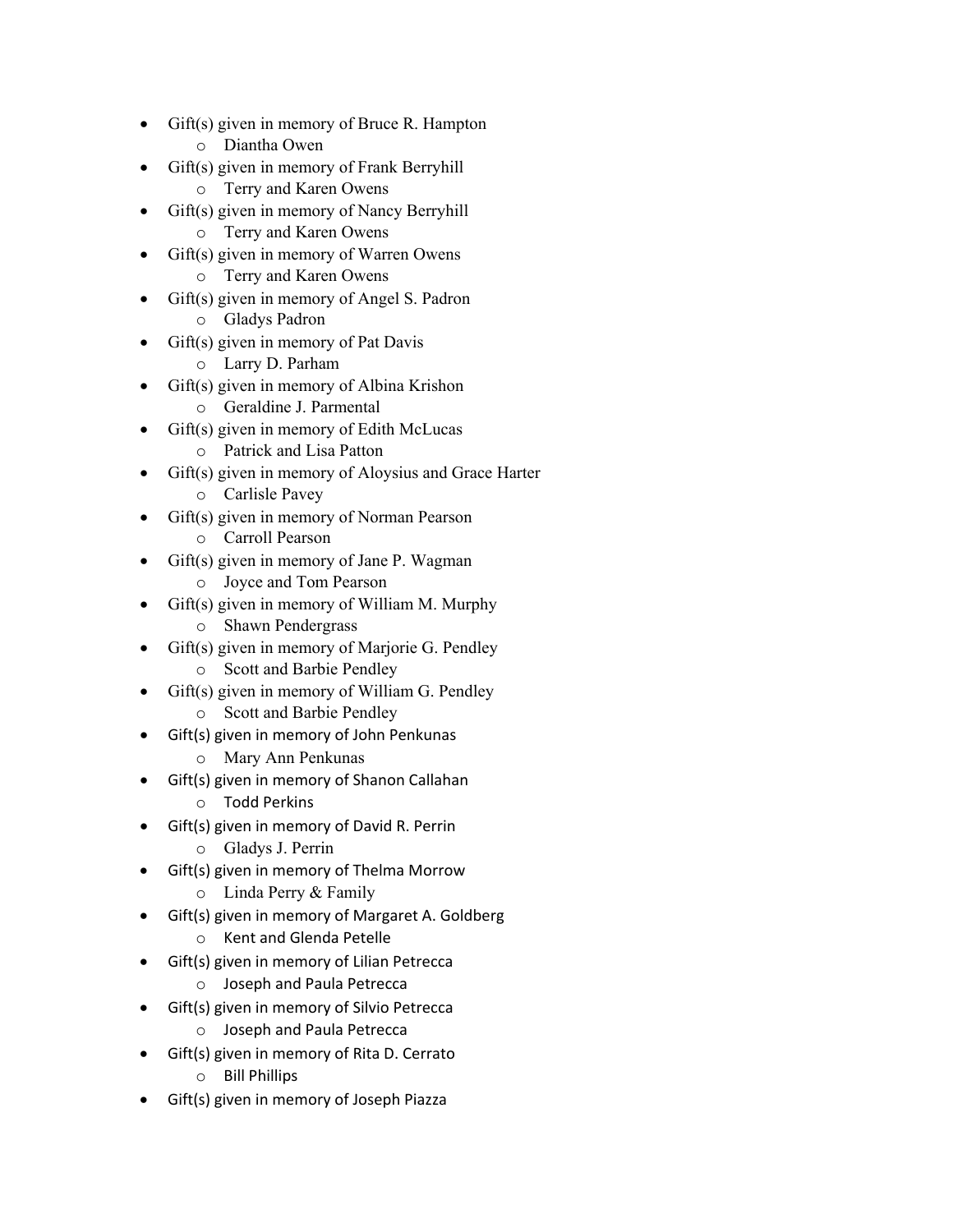- Gift(s) given in memory of Bruce R. Hampton
	- o Diantha Owen
- Gift(s) given in memory of Frank Berryhill
	- o Terry and Karen Owens
- Gift(s) given in memory of Nancy Berryhill o Terry and Karen Owens
- Gift(s) given in memory of Warren Owens
	- o Terry and Karen Owens
- Gift(s) given in memory of Angel S. Padron
	- o Gladys Padron
- Gift(s) given in memory of Pat Davis
	- o Larry D. Parham
- Gift(s) given in memory of Albina Krishon
	- o Geraldine J. Parmental
- $\bullet$  Gift(s) given in memory of Edith McLucas
	- o Patrick and Lisa Patton
- Gift(s) given in memory of Aloysius and Grace Harter
	- o Carlisle Pavey
- Gift(s) given in memory of Norman Pearson
	- o Carroll Pearson
	- Gift(s) given in memory of Jane P. Wagman
		- o Joyce and Tom Pearson
- Gift(s) given in memory of William M. Murphy
	- o Shawn Pendergrass
- Gift(s) given in memory of Marjorie G. Pendley
	- o Scott and Barbie Pendley
- Gift(s) given in memory of William G. Pendley o Scott and Barbie Pendley
- Gift(s) given in memory of John Penkunas
	- o Mary Ann Penkunas
- Gift(s) given in memory of Shanon Callahan
	- o Todd Perkins
- Gift(s) given in memory of David R. Perrin
	- o Gladys J. Perrin
- Gift(s) given in memory of Thelma Morrow
	- o Linda Perry & Family
- Gift(s) given in memory of Margaret A. Goldberg
	- o Kent and Glenda Petelle
- Gift(s) given in memory of Lilian Petrecca
	- o Joseph and Paula Petrecca
- Gift(s) given in memory of Silvio Petrecca
	- o Joseph and Paula Petrecca
- Gift(s) given in memory of Rita D. Cerrato
	- o Bill Phillips
- Gift(s) given in memory of Joseph Piazza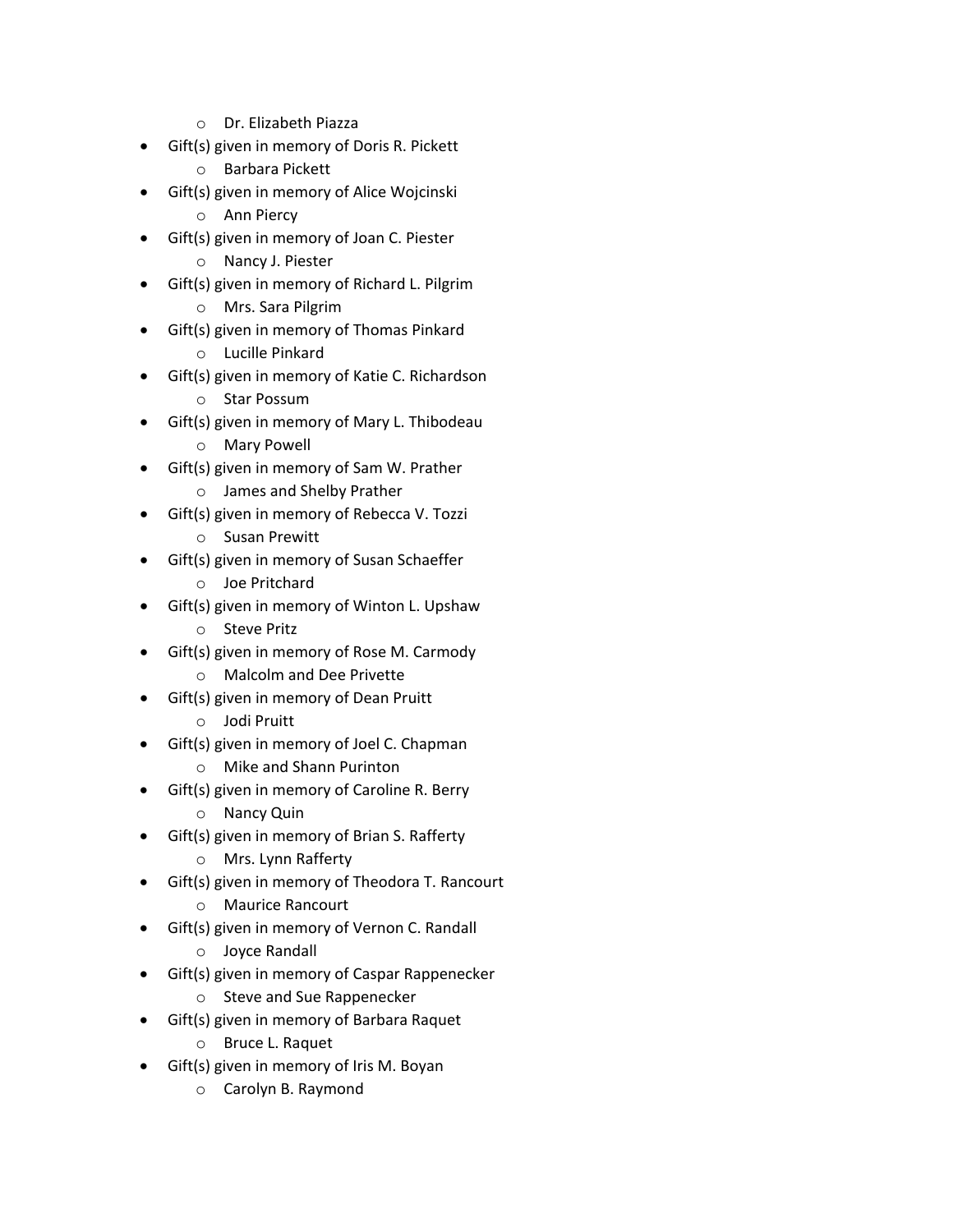- o Dr. Elizabeth Piazza
- Gift(s) given in memory of Doris R. Pickett
	- o Barbara Pickett
- Gift(s) given in memory of Alice Wojcinski
	- o Ann Piercy
- Gift(s) given in memory of Joan C. Piester
	- o Nancy J. Piester
- Gift(s) given in memory of Richard L. Pilgrim
	- o Mrs. Sara Pilgrim
- Gift(s) given in memory of Thomas Pinkard
	- o Lucille Pinkard
- Gift(s) given in memory of Katie C. Richardson
	- o Star Possum
- Gift(s) given in memory of Mary L. Thibodeau
	- o Mary Powell
- Gift(s) given in memory of Sam W. Prather
	- o James and Shelby Prather
- Gift(s) given in memory of Rebecca V. Tozzi
	- o Susan Prewitt
- Gift(s) given in memory of Susan Schaeffer
	- o Joe Pritchard
- Gift(s) given in memory of Winton L. Upshaw
	- o Steve Pritz
- Gift(s) given in memory of Rose M. Carmody
	- o Malcolm and Dee Privette
- Gift(s) given in memory of Dean Pruitt
	- o Jodi Pruitt
- Gift(s) given in memory of Joel C. Chapman o Mike and Shann Purinton
- Gift(s) given in memory of Caroline R. Berry
	- o Nancy Quin
- Gift(s) given in memory of Brian S. Rafferty
	- o Mrs. Lynn Rafferty
- Gift(s) given in memory of Theodora T. Rancourt
	- o Maurice Rancourt
- Gift(s) given in memory of Vernon C. Randall
	- o Joyce Randall
- Gift(s) given in memory of Caspar Rappenecker
	- o Steve and Sue Rappenecker
- Gift(s) given in memory of Barbara Raquet
	- o Bruce L. Raquet
- Gift(s) given in memory of Iris M. Boyan
	- o Carolyn B. Raymond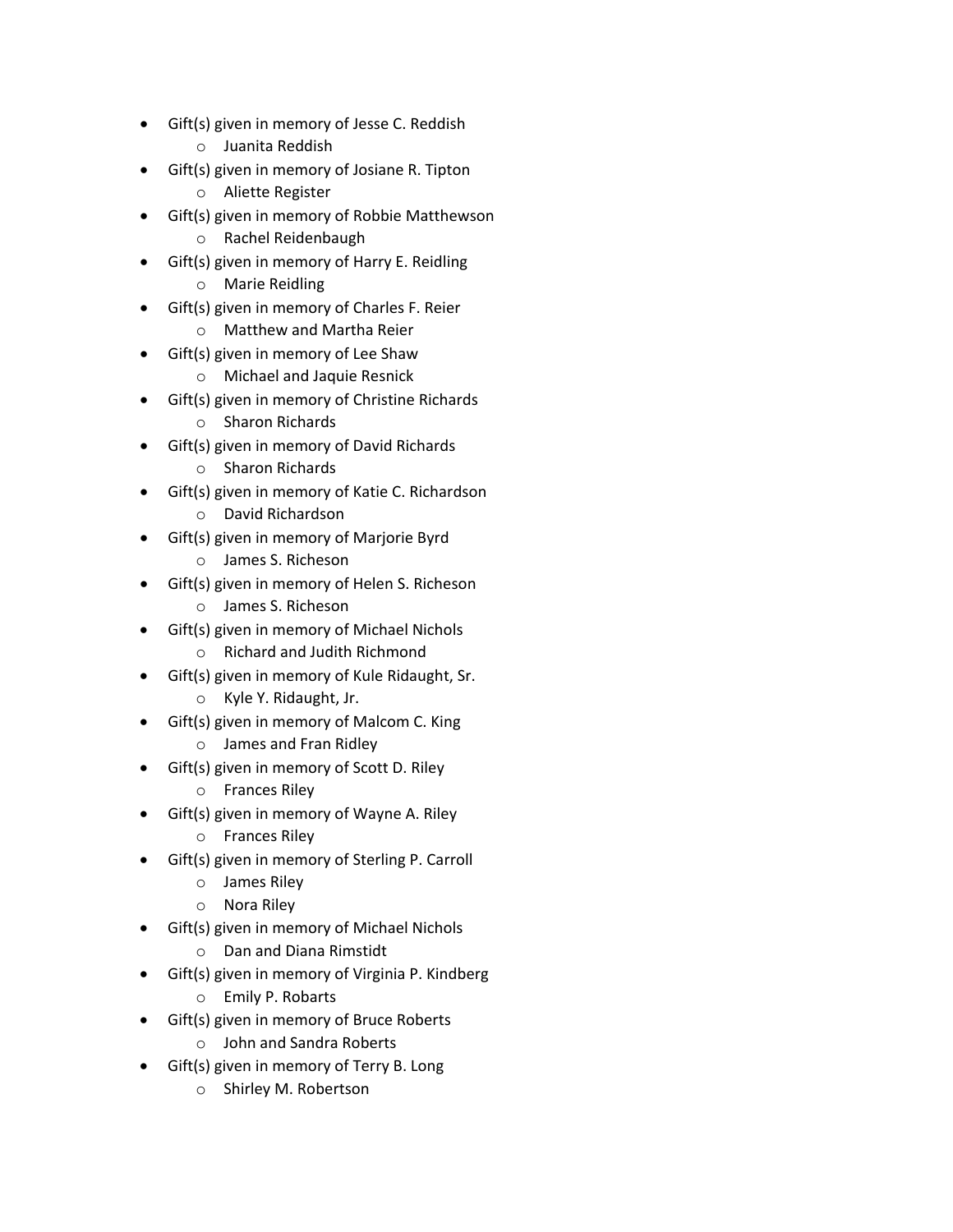- Gift(s) given in memory of Jesse C. Reddish
	- o Juanita Reddish
- Gift(s) given in memory of Josiane R. Tipton
	- o Aliette Register
- Gift(s) given in memory of Robbie Matthewson
	- o Rachel Reidenbaugh
- Gift(s) given in memory of Harry E. Reidling
	- o Marie Reidling
- Gift(s) given in memory of Charles F. Reier
	- o Matthew and Martha Reier
- Gift(s) given in memory of Lee Shaw
	- o Michael and Jaquie Resnick
- Gift(s) given in memory of Christine Richards
	- o Sharon Richards
- Gift(s) given in memory of David Richards
	- o Sharon Richards
- Gift(s) given in memory of Katie C. Richardson
	- o David Richardson
- Gift(s) given in memory of Marjorie Byrd
	- o James S. Richeson
- Gift(s) given in memory of Helen S. Richeson
	- o James S. Richeson
- Gift(s) given in memory of Michael Nichols
	- o Richard and Judith Richmond
- Gift(s) given in memory of Kule Ridaught, Sr.
	- o Kyle Y. Ridaught, Jr.
- Gift(s) given in memory of Malcom C. King
	- o James and Fran Ridley
- Gift(s) given in memory of Scott D. Riley
	- o Frances Riley
- Gift(s) given in memory of Wayne A. Riley
	- o Frances Riley
- Gift(s) given in memory of Sterling P. Carroll
	- o James Riley
	- o Nora Riley
- Gift(s) given in memory of Michael Nichols
	- o Dan and Diana Rimstidt
- Gift(s) given in memory of Virginia P. Kindberg
	- o Emily P. Robarts
- Gift(s) given in memory of Bruce Roberts
	- o John and Sandra Roberts
- Gift(s) given in memory of Terry B. Long
	- o Shirley M. Robertson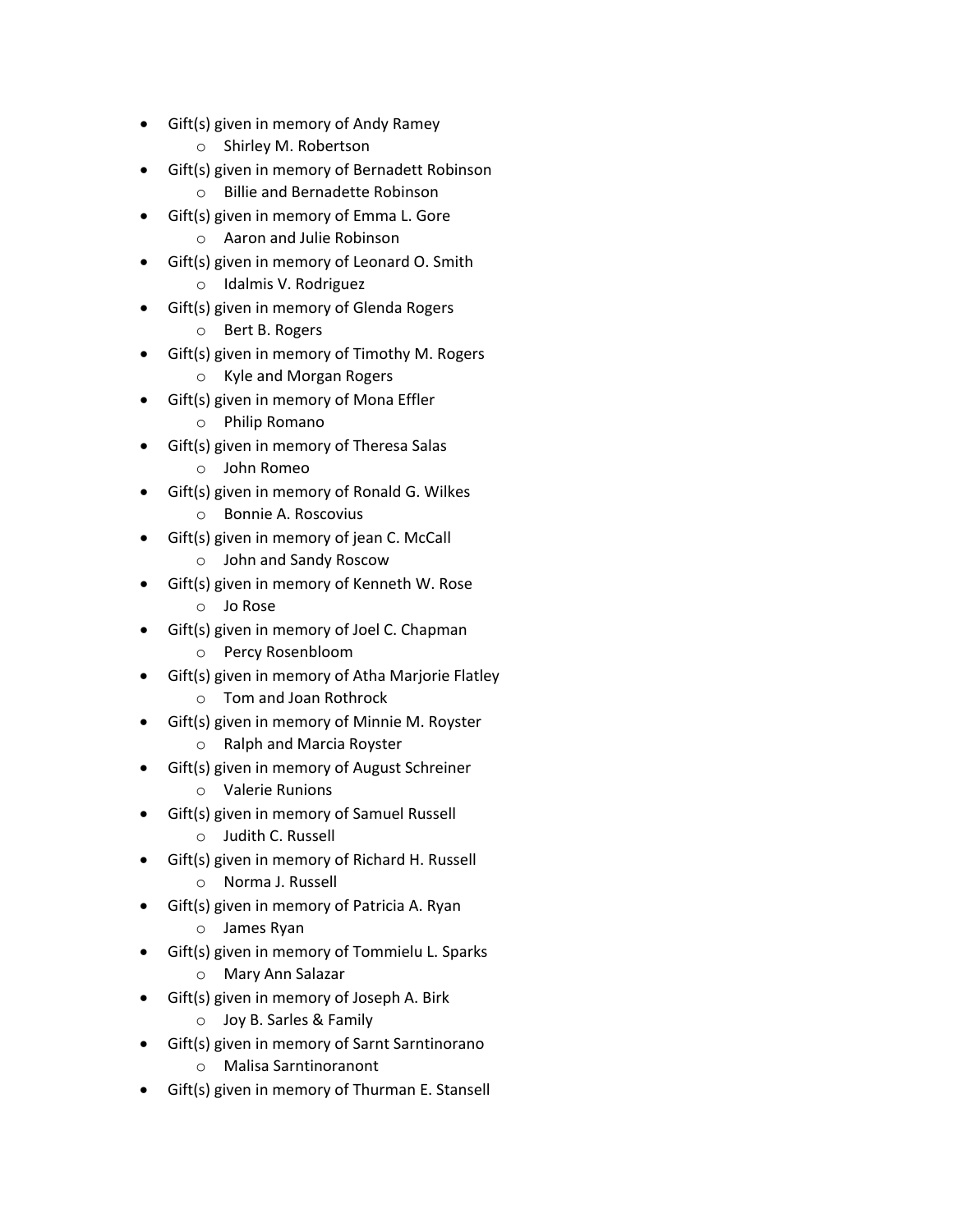- Gift(s) given in memory of Andy Ramey
	- o Shirley M. Robertson
- Gift(s) given in memory of Bernadett Robinson
	- o Billie and Bernadette Robinson
- Gift(s) given in memory of Emma L. Gore
	- o Aaron and Julie Robinson
- Gift(s) given in memory of Leonard O. Smith
	- o Idalmis V. Rodriguez
- Gift(s) given in memory of Glenda Rogers
	- o Bert B. Rogers
- Gift(s) given in memory of Timothy M. Rogers
	- o Kyle and Morgan Rogers
- Gift(s) given in memory of Mona Effler
	- o Philip Romano
- Gift(s) given in memory of Theresa Salas
	- o John Romeo
- Gift(s) given in memory of Ronald G. Wilkes
	- o Bonnie A. Roscovius
- Gift(s) given in memory of jean C. McCall
	- o John and Sandy Roscow
- Gift(s) given in memory of Kenneth W. Rose
	- o Jo Rose
- Gift(s) given in memory of Joel C. Chapman
	- o Percy Rosenbloom
- Gift(s) given in memory of Atha Marjorie Flatley
	- o Tom and Joan Rothrock
- Gift(s) given in memory of Minnie M. Royster
	- o Ralph and Marcia Royster
	- Gift(s) given in memory of August Schreiner
		- o Valerie Runions
- Gift(s) given in memory of Samuel Russell
	- o Judith C. Russell
- Gift(s) given in memory of Richard H. Russell
	- o Norma J. Russell
- Gift(s) given in memory of Patricia A. Ryan
	- o James Ryan
- Gift(s) given in memory of Tommielu L. Sparks
	- o Mary Ann Salazar
- Gift(s) given in memory of Joseph A. Birk
	- o Joy B. Sarles & Family
- Gift(s) given in memory of Sarnt Sarntinorano
	- o Malisa Sarntinoranont
- Gift(s) given in memory of Thurman E. Stansell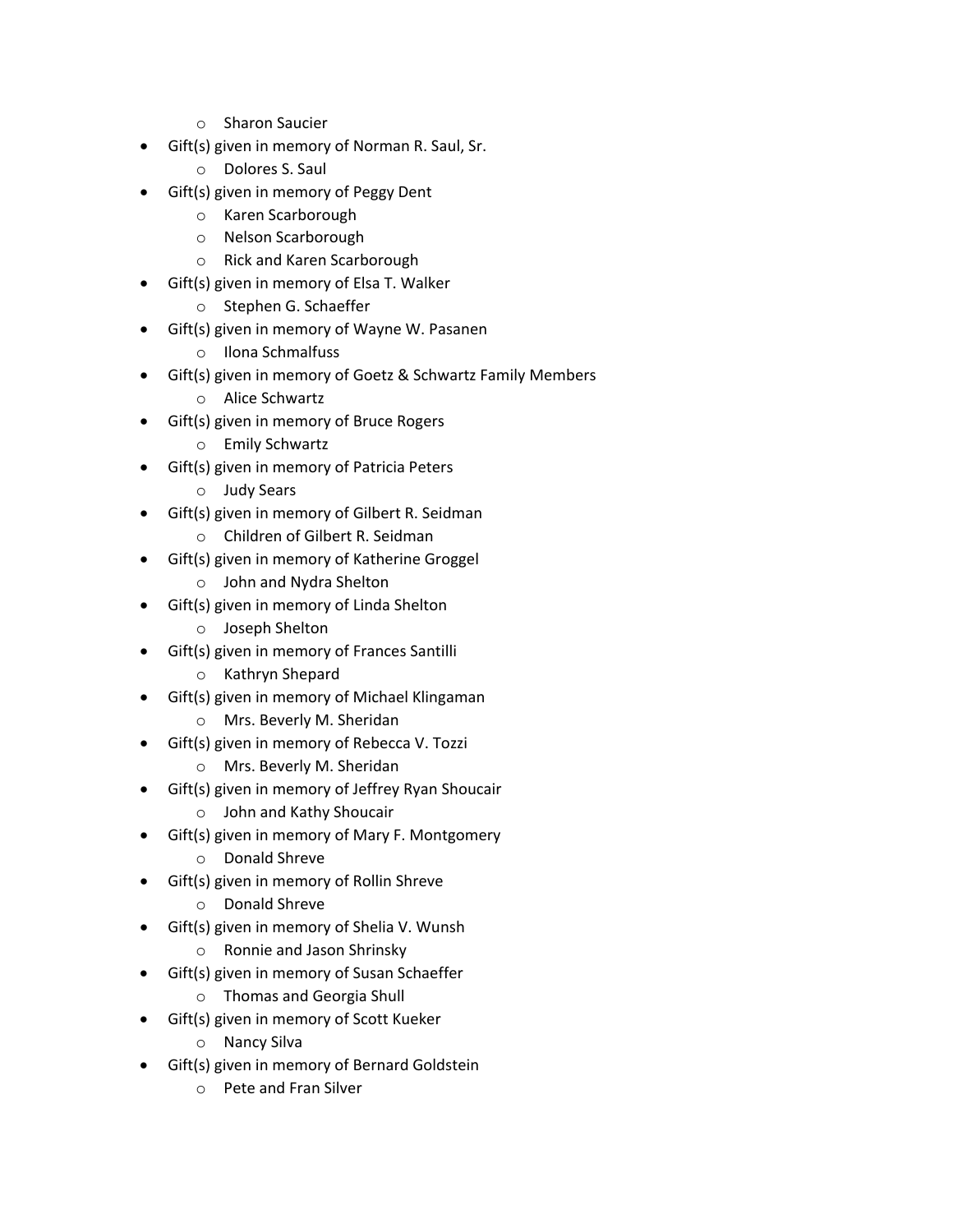- o Sharon Saucier
- Gift(s) given in memory of Norman R. Saul, Sr.
	- o Dolores S. Saul
- Gift(s) given in memory of Peggy Dent
	- o Karen Scarborough
	- o Nelson Scarborough
	- o Rick and Karen Scarborough
- Gift(s) given in memory of Elsa T. Walker
	- o Stephen G. Schaeffer
- Gift(s) given in memory of Wayne W. Pasanen
	- o Ilona Schmalfuss
- Gift(s) given in memory of Goetz & Schwartz Family Members
	- o Alice Schwartz
- Gift(s) given in memory of Bruce Rogers
	- o Emily Schwartz
- Gift(s) given in memory of Patricia Peters
	- o Judy Sears
- Gift(s) given in memory of Gilbert R. Seidman
	- o Children of Gilbert R. Seidman
- Gift(s) given in memory of Katherine Groggel
	- o John and Nydra Shelton
- Gift(s) given in memory of Linda Shelton
	- o Joseph Shelton
- Gift(s) given in memory of Frances Santilli
	- o Kathryn Shepard
- Gift(s) given in memory of Michael Klingaman
	- o Mrs. Beverly M. Sheridan
- Gift(s) given in memory of Rebecca V. Tozzi
	- o Mrs. Beverly M. Sheridan
- Gift(s) given in memory of Jeffrey Ryan Shoucair
	- o John and Kathy Shoucair
- Gift(s) given in memory of Mary F. Montgomery
	- o Donald Shreve
- Gift(s) given in memory of Rollin Shreve
	- o Donald Shreve
- Gift(s) given in memory of Shelia V. Wunsh
	- o Ronnie and Jason Shrinsky
	- Gift(s) given in memory of Susan Schaeffer
		- o Thomas and Georgia Shull
- Gift(s) given in memory of Scott Kueker
	- o Nancy Silva
- Gift(s) given in memory of Bernard Goldstein
	- o Pete and Fran Silver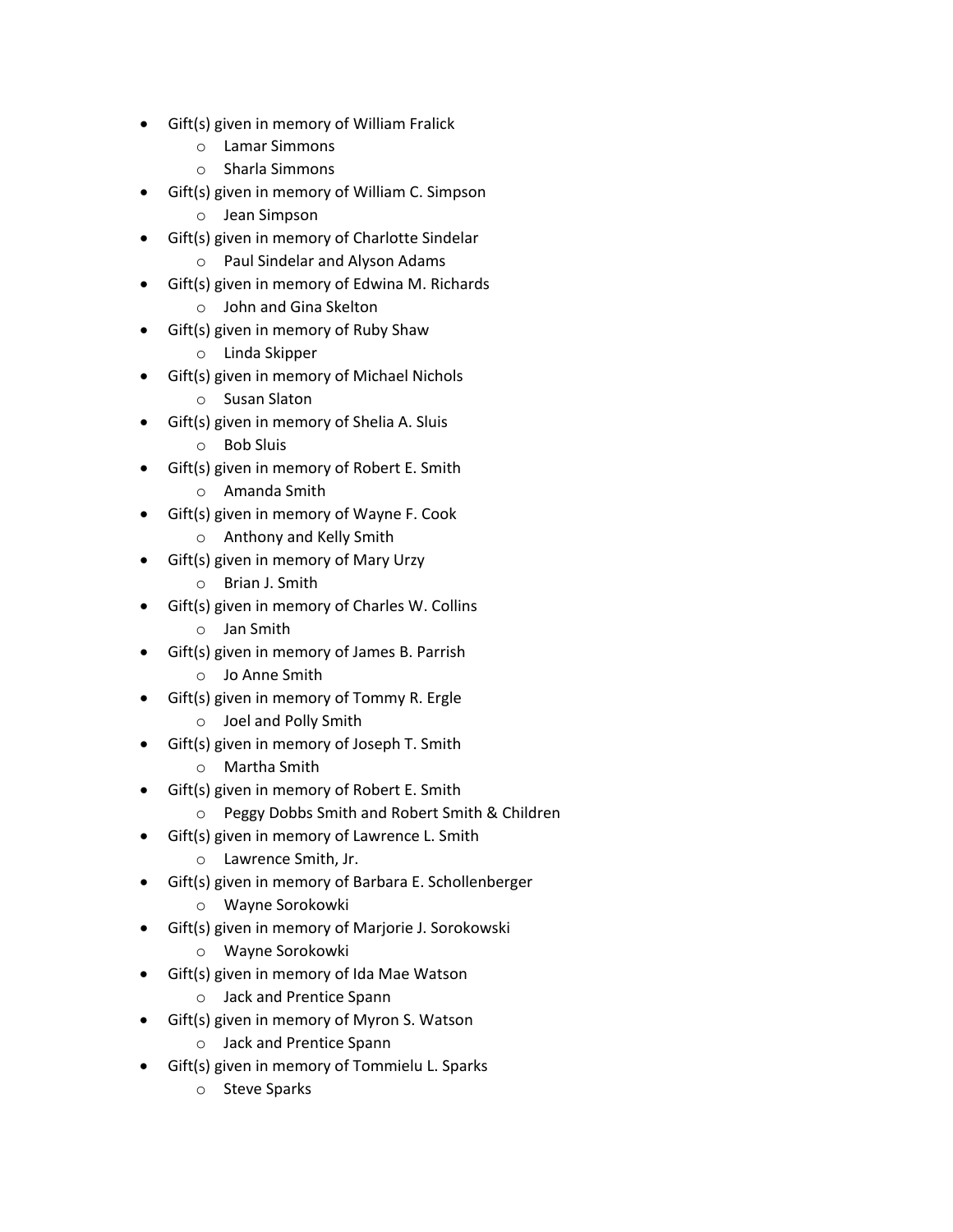- Gift(s) given in memory of William Fralick
	- o Lamar Simmons
	- o Sharla Simmons
- Gift(s) given in memory of William C. Simpson
	- o Jean Simpson
- Gift(s) given in memory of Charlotte Sindelar
	- o Paul Sindelar and Alyson Adams
- Gift(s) given in memory of Edwina M. Richards
	- o John and Gina Skelton
- Gift(s) given in memory of Ruby Shaw
	- o Linda Skipper
- Gift(s) given in memory of Michael Nichols
	- o Susan Slaton
- Gift(s) given in memory of Shelia A. Sluis
	- o Bob Sluis
- Gift(s) given in memory of Robert E. Smith
	- o Amanda Smith
- Gift(s) given in memory of Wayne F. Cook
	- o Anthony and Kelly Smith
- Gift(s) given in memory of Mary Urzy
	- o Brian J. Smith
- Gift(s) given in memory of Charles W. Collins
	- o Jan Smith
- Gift(s) given in memory of James B. Parrish
	- o Jo Anne Smith
- Gift(s) given in memory of Tommy R. Ergle
	- o Joel and Polly Smith
- Gift(s) given in memory of Joseph T. Smith
	- o Martha Smith
- Gift(s) given in memory of Robert E. Smith
	- o Peggy Dobbs Smith and Robert Smith & Children
- Gift(s) given in memory of Lawrence L. Smith
	- o Lawrence Smith, Jr.
- Gift(s) given in memory of Barbara E. Schollenberger
	- o Wayne Sorokowki
- Gift(s) given in memory of Marjorie J. Sorokowski
	- o Wayne Sorokowki
- Gift(s) given in memory of Ida Mae Watson
	- o Jack and Prentice Spann
- Gift(s) given in memory of Myron S. Watson
	- o Jack and Prentice Spann
- Gift(s) given in memory of Tommielu L. Sparks
	- o Steve Sparks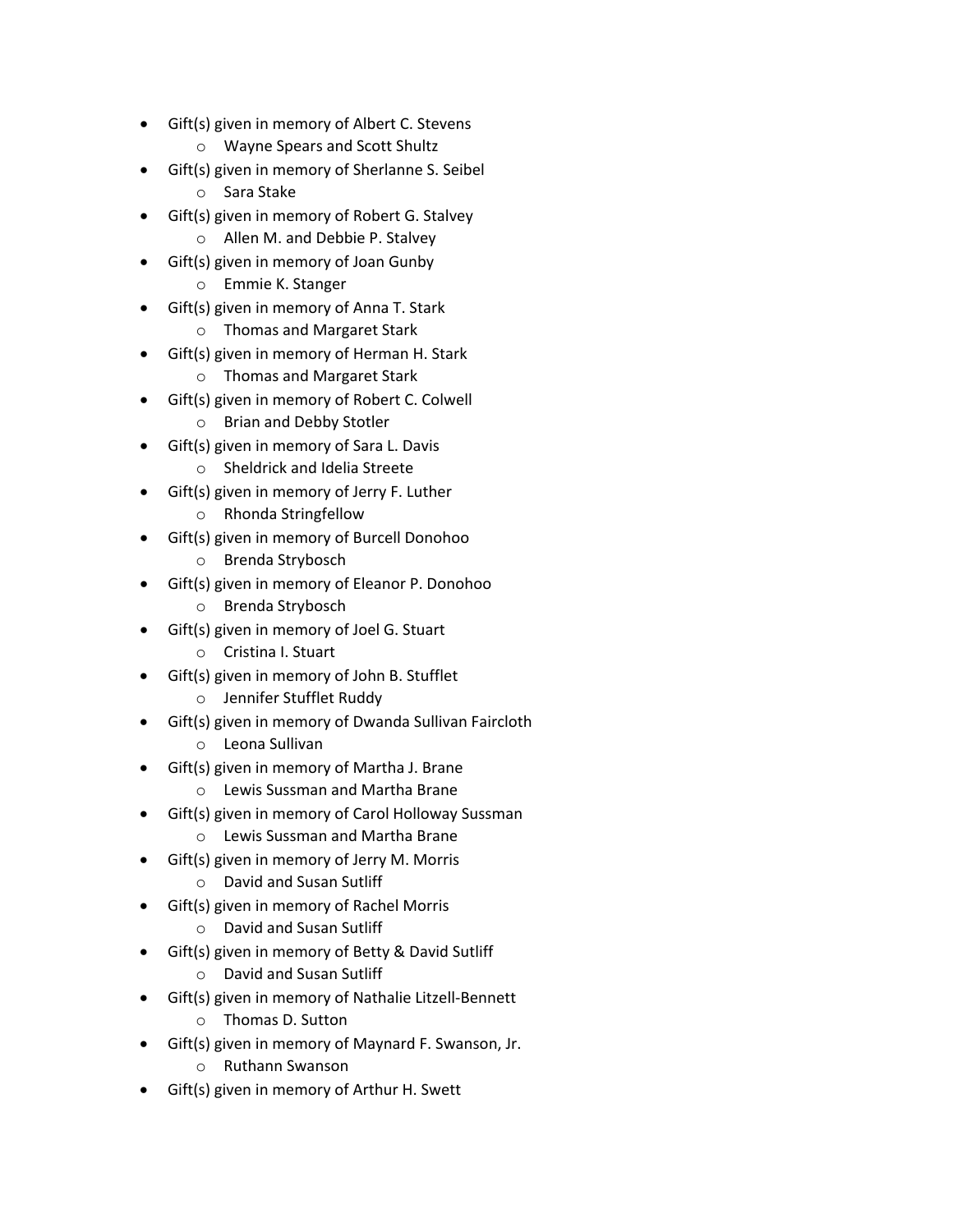- Gift(s) given in memory of Albert C. Stevens
	- o Wayne Spears and Scott Shultz
- Gift(s) given in memory of Sherlanne S. Seibel
	- o Sara Stake
- Gift(s) given in memory of Robert G. Stalvey
	- o Allen M. and Debbie P. Stalvey
- Gift(s) given in memory of Joan Gunby
	- o Emmie K. Stanger
- Gift(s) given in memory of Anna T. Stark
	- o Thomas and Margaret Stark
- Gift(s) given in memory of Herman H. Stark
	- o Thomas and Margaret Stark
- Gift(s) given in memory of Robert C. Colwell
	- o Brian and Debby Stotler
- Gift(s) given in memory of Sara L. Davis
	- o Sheldrick and Idelia Streete
- Gift(s) given in memory of Jerry F. Luther
	- o Rhonda Stringfellow
- Gift(s) given in memory of Burcell Donohoo
	- o Brenda Strybosch
- Gift(s) given in memory of Eleanor P. Donohoo
	- o Brenda Strybosch
- Gift(s) given in memory of Joel G. Stuart
	- o Cristina I. Stuart
- Gift(s) given in memory of John B. Stufflet
	- o Jennifer Stufflet Ruddy
- Gift(s) given in memory of Dwanda Sullivan Faircloth
	- o Leona Sullivan
	- Gift(s) given in memory of Martha J. Brane
		- o Lewis Sussman and Martha Brane
- Gift(s) given in memory of Carol Holloway Sussman
	- o Lewis Sussman and Martha Brane
- Gift(s) given in memory of Jerry M. Morris
	- o David and Susan Sutliff
- Gift(s) given in memory of Rachel Morris
	- o David and Susan Sutliff
- Gift(s) given in memory of Betty & David Sutliff
	- o David and Susan Sutliff
- Gift(s) given in memory of Nathalie Litzell-Bennett
	- o Thomas D. Sutton
- Gift(s) given in memory of Maynard F. Swanson, Jr.
	- o Ruthann Swanson
- Gift(s) given in memory of Arthur H. Swett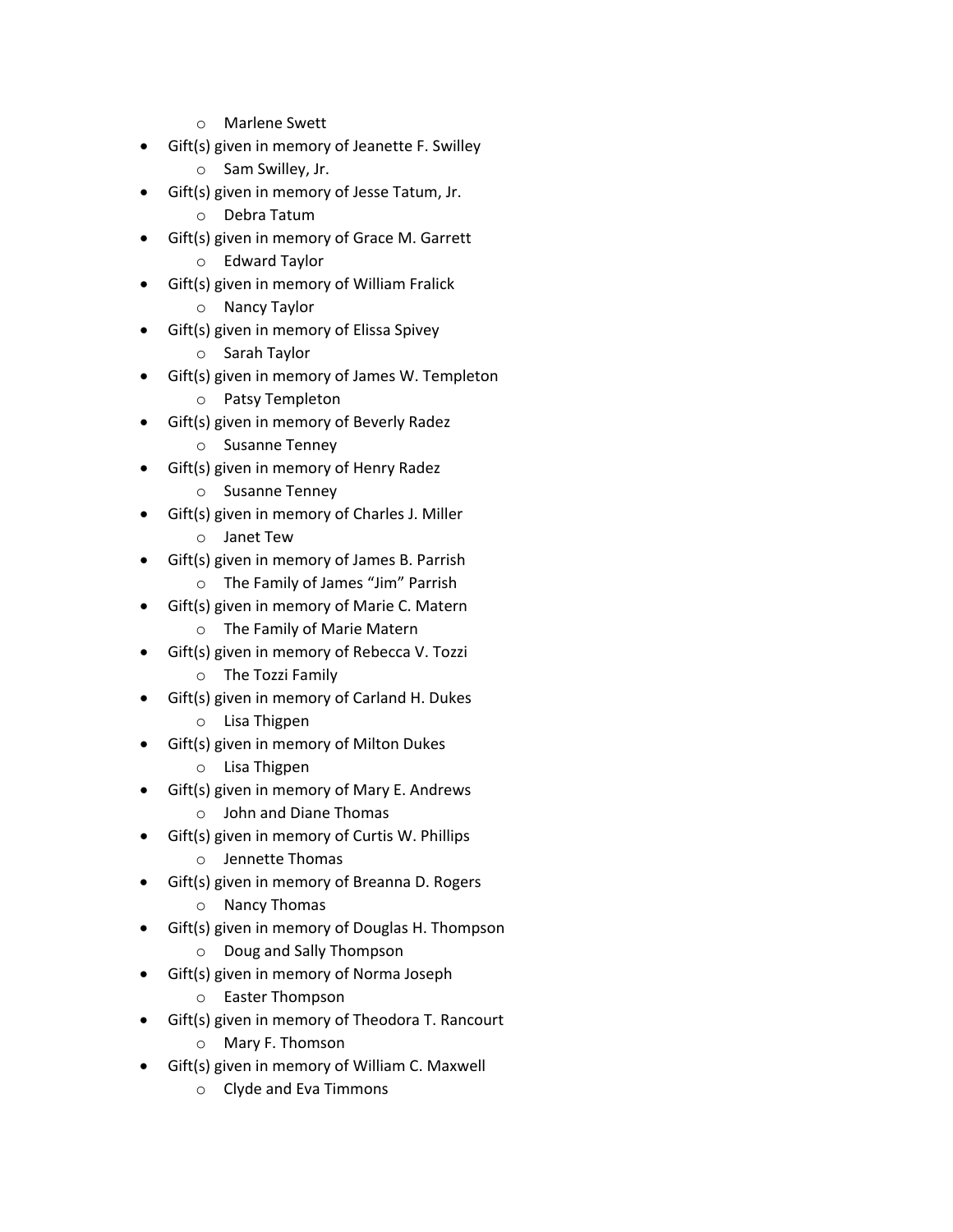- o Marlene Swett
- Gift(s) given in memory of Jeanette F. Swilley
	- o Sam Swilley, Jr.
- Gift(s) given in memory of Jesse Tatum, Jr.
	- o Debra Tatum
- Gift(s) given in memory of Grace M. Garrett
	- o Edward Taylor
- Gift(s) given in memory of William Fralick
	- o Nancy Taylor
- Gift(s) given in memory of Elissa Spivey
	- o Sarah Taylor
- Gift(s) given in memory of James W. Templeton
	- o Patsy Templeton
- Gift(s) given in memory of Beverly Radez
	- o Susanne Tenney
- Gift(s) given in memory of Henry Radez
	- o Susanne Tenney
- Gift(s) given in memory of Charles J. Miller
	- o Janet Tew
- Gift(s) given in memory of James B. Parrish
	- o The Family of James "Jim" Parrish
- Gift(s) given in memory of Marie C. Matern
	- o The Family of Marie Matern
- Gift(s) given in memory of Rebecca V. Tozzi
	- o The Tozzi Family
- Gift(s) given in memory of Carland H. Dukes
	- o Lisa Thigpen
- Gift(s) given in memory of Milton Dukes
	- o Lisa Thigpen
- Gift(s) given in memory of Mary E. Andrews
	- o John and Diane Thomas
- Gift(s) given in memory of Curtis W. Phillips
	- o Jennette Thomas
- Gift(s) given in memory of Breanna D. Rogers
	- o Nancy Thomas
- Gift(s) given in memory of Douglas H. Thompson
	- o Doug and Sally Thompson
- Gift(s) given in memory of Norma Joseph
	- o Easter Thompson
- Gift(s) given in memory of Theodora T. Rancourt
	- o Mary F. Thomson
- Gift(s) given in memory of William C. Maxwell
	- o Clyde and Eva Timmons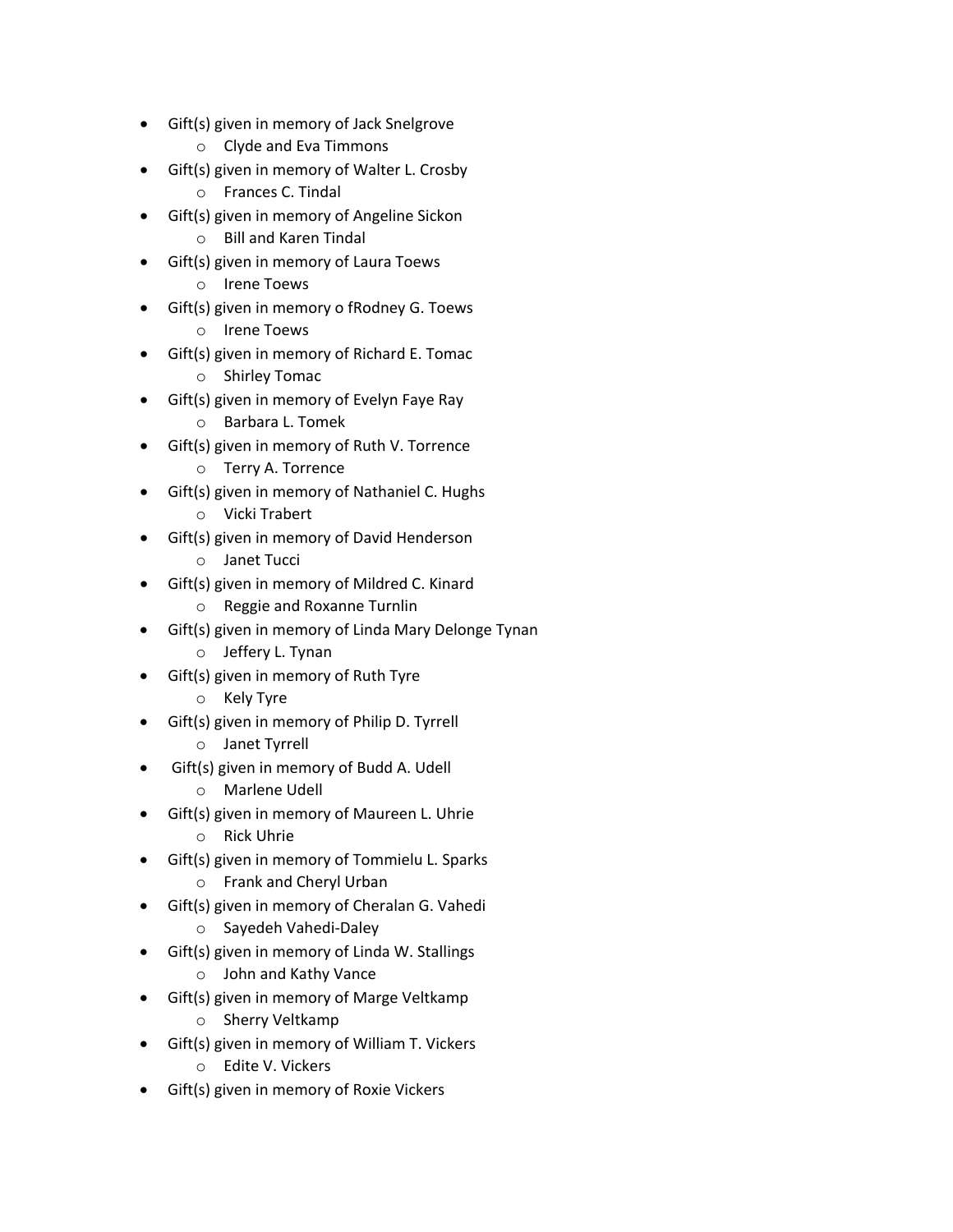- Gift(s) given in memory of Jack Snelgrove
	- o Clyde and Eva Timmons
- Gift(s) given in memory of Walter L. Crosby
	- o Frances C. Tindal
- Gift(s) given in memory of Angeline Sickon
	- o Bill and Karen Tindal
- Gift(s) given in memory of Laura Toews
	- o Irene Toews
- Gift(s) given in memory o fRodney G. Toews
	- o Irene Toews
- Gift(s) given in memory of Richard E. Tomac
	- o Shirley Tomac
- Gift(s) given in memory of Evelyn Faye Ray
	- o Barbara L. Tomek
- Gift(s) given in memory of Ruth V. Torrence
	- o Terry A. Torrence
- Gift(s) given in memory of Nathaniel C. Hughs
	- o Vicki Trabert
- Gift(s) given in memory of David Henderson o Janet Tucci
- Gift(s) given in memory of Mildred C. Kinard
	- o Reggie and Roxanne Turnlin
- Gift(s) given in memory of Linda Mary Delonge Tynan
	- o Jeffery L. Tynan
- Gift(s) given in memory of Ruth Tyre
	- o Kely Tyre
- Gift(s) given in memory of Philip D. Tyrrell
	- o Janet Tyrrell
	- Gift(s) given in memory of Budd A. Udell
		- o Marlene Udell
- Gift(s) given in memory of Maureen L. Uhrie
	- o Rick Uhrie
- Gift(s) given in memory of Tommielu L. Sparks
	- o Frank and Cheryl Urban
- Gift(s) given in memory of Cheralan G. Vahedi
	- o Sayedeh Vahedi-Daley
- Gift(s) given in memory of Linda W. Stallings
	- o John and Kathy Vance
- Gift(s) given in memory of Marge Veltkamp
	- o Sherry Veltkamp
- Gift(s) given in memory of William T. Vickers
	- o Edite V. Vickers
- Gift(s) given in memory of Roxie Vickers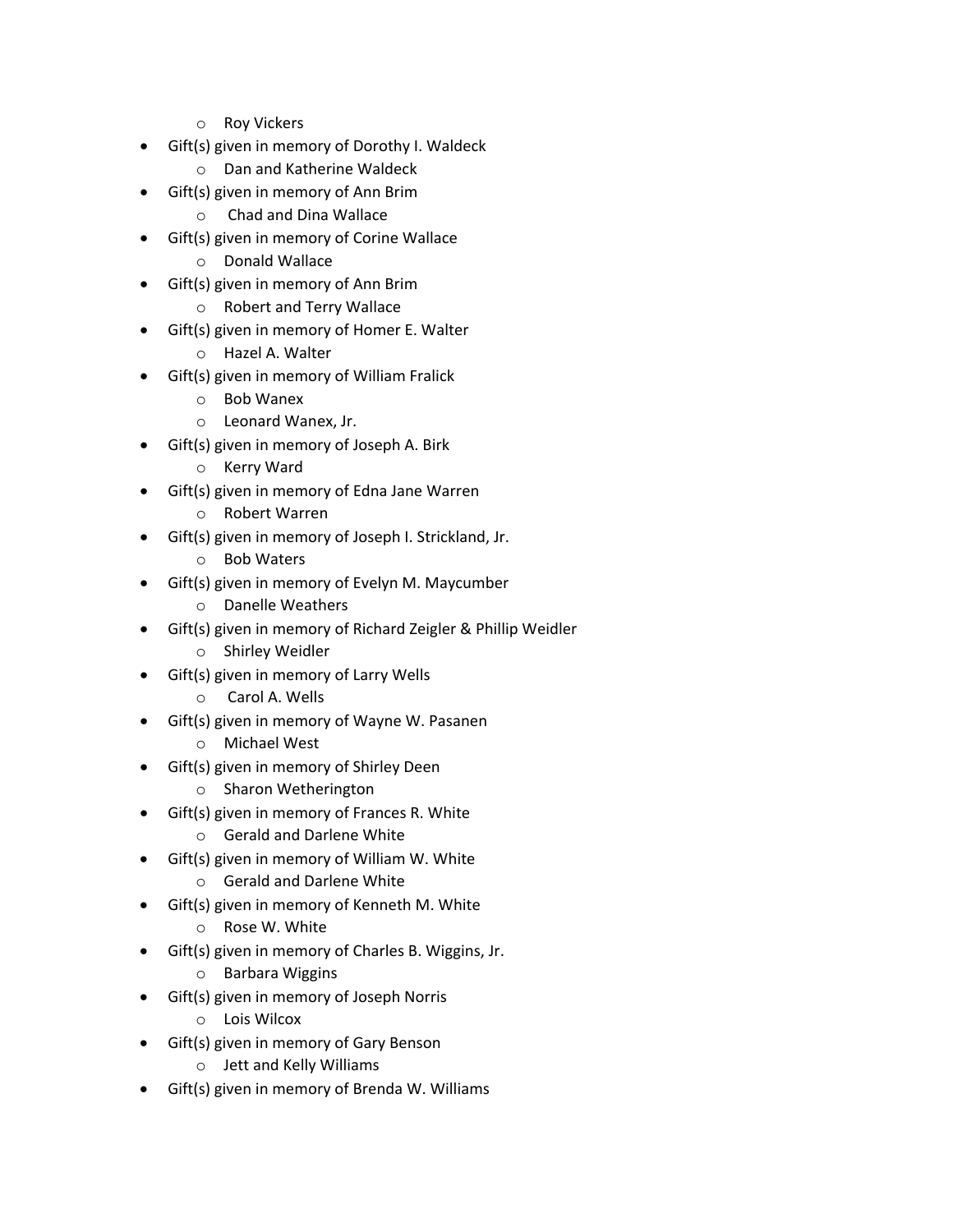- o Roy Vickers
- Gift(s) given in memory of Dorothy I. Waldeck
	- o Dan and Katherine Waldeck
- Gift(s) given in memory of Ann Brim
	- o Chad and Dina Wallace
- Gift(s) given in memory of Corine Wallace
	- o Donald Wallace
- Gift(s) given in memory of Ann Brim
	- o Robert and Terry Wallace
- Gift(s) given in memory of Homer E. Walter
	- o Hazel A. Walter
- Gift(s) given in memory of William Fralick
	- o Bob Wanex
	- o Leonard Wanex, Jr.
- Gift(s) given in memory of Joseph A. Birk
	- o Kerry Ward
- Gift(s) given in memory of Edna Jane Warren
	- o Robert Warren
- Gift(s) given in memory of Joseph I. Strickland, Jr.
	- o Bob Waters
- Gift(s) given in memory of Evelyn M. Maycumber
	- o Danelle Weathers
- Gift(s) given in memory of Richard Zeigler & Phillip Weidler
	- o Shirley Weidler
- Gift(s) given in memory of Larry Wells
	- o Carol A. Wells
- Gift(s) given in memory of Wayne W. Pasanen
	- o Michael West
- Gift(s) given in memory of Shirley Deen
	- o Sharon Wetherington
- Gift(s) given in memory of Frances R. White
	- o Gerald and Darlene White
- Gift(s) given in memory of William W. White
	- o Gerald and Darlene White
- Gift(s) given in memory of Kenneth M. White
	- o Rose W. White
- Gift(s) given in memory of Charles B. Wiggins, Jr.
	- o Barbara Wiggins
- Gift(s) given in memory of Joseph Norris
	- o Lois Wilcox
- Gift(s) given in memory of Gary Benson
	- o Jett and Kelly Williams
- Gift(s) given in memory of Brenda W. Williams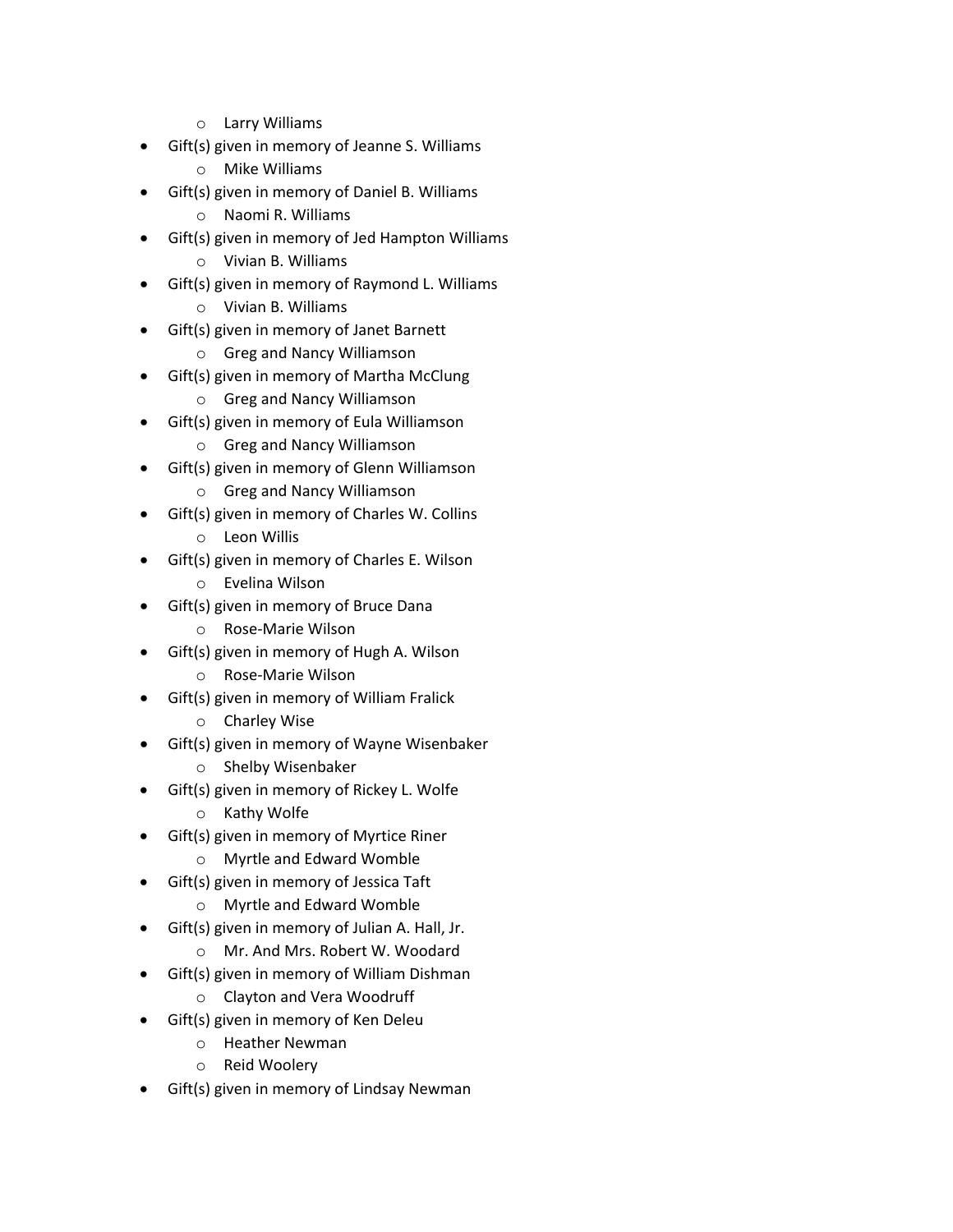- o Larry Williams
- Gift(s) given in memory of Jeanne S. Williams
	- o Mike Williams
- Gift(s) given in memory of Daniel B. Williams
	- o Naomi R. Williams
- Gift(s) given in memory of Jed Hampton Williams
	- o Vivian B. Williams
- Gift(s) given in memory of Raymond L. Williams
	- o Vivian B. Williams
- Gift(s) given in memory of Janet Barnett
	- o Greg and Nancy Williamson
- Gift(s) given in memory of Martha McClung
	- o Greg and Nancy Williamson
- Gift(s) given in memory of Eula Williamson
	- o Greg and Nancy Williamson
- Gift(s) given in memory of Glenn Williamson
	- o Greg and Nancy Williamson
- Gift(s) given in memory of Charles W. Collins
	- o Leon Willis
- Gift(s) given in memory of Charles E. Wilson
	- o Evelina Wilson
- Gift(s) given in memory of Bruce Dana
	- o Rose-Marie Wilson
- Gift(s) given in memory of Hugh A. Wilson
	- o Rose-Marie Wilson
- Gift(s) given in memory of William Fralick
	- o Charley Wise
- Gift(s) given in memory of Wayne Wisenbaker
	- o Shelby Wisenbaker
- Gift(s) given in memory of Rickey L. Wolfe
	- o Kathy Wolfe
- Gift(s) given in memory of Myrtice Riner
	- o Myrtle and Edward Womble
- Gift(s) given in memory of Jessica Taft
	- o Myrtle and Edward Womble
- Gift(s) given in memory of Julian A. Hall, Jr.
	- o Mr. And Mrs. Robert W. Woodard
- Gift(s) given in memory of William Dishman
	- o Clayton and Vera Woodruff
- Gift(s) given in memory of Ken Deleu
	- o Heather Newman
	- o Reid Woolery
- Gift(s) given in memory of Lindsay Newman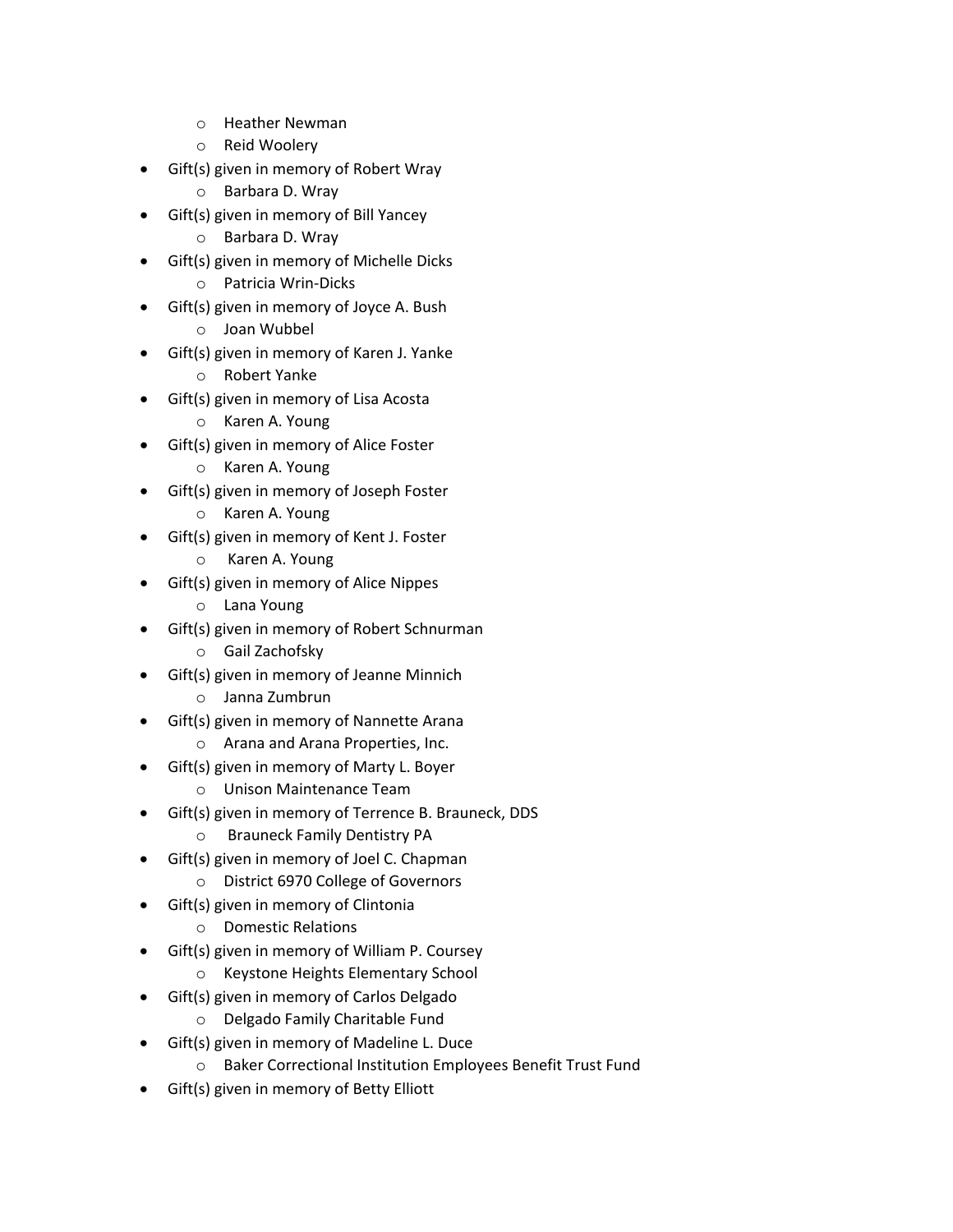- o Heather Newman
- o Reid Woolery
- Gift(s) given in memory of Robert Wray
	- o Barbara D. Wray
- Gift(s) given in memory of Bill Yancey
	- o Barbara D. Wray
- Gift(s) given in memory of Michelle Dicks
	- o Patricia Wrin-Dicks
- Gift(s) given in memory of Joyce A. Bush
	- o Joan Wubbel
- Gift(s) given in memory of Karen J. Yanke
	- o Robert Yanke
- Gift(s) given in memory of Lisa Acosta
	- o Karen A. Young
- Gift(s) given in memory of Alice Foster
	- o Karen A. Young
- Gift(s) given in memory of Joseph Foster
	- o Karen A. Young
- Gift(s) given in memory of Kent J. Foster
	- o Karen A. Young
- Gift(s) given in memory of Alice Nippes
	- o Lana Young
- Gift(s) given in memory of Robert Schnurman
	- o Gail Zachofsky
- Gift(s) given in memory of Jeanne Minnich
	- o Janna Zumbrun
- Gift(s) given in memory of Nannette Arana
	- o Arana and Arana Properties, Inc.
- Gift(s) given in memory of Marty L. Boyer
	- o Unison Maintenance Team
- Gift(s) given in memory of Terrence B. Brauneck, DDS
	- o Brauneck Family Dentistry PA
- Gift(s) given in memory of Joel C. Chapman
	- o District 6970 College of Governors
- Gift(s) given in memory of Clintonia
	- o Domestic Relations
- Gift(s) given in memory of William P. Coursey
	- o Keystone Heights Elementary School
- Gift(s) given in memory of Carlos Delgado
	- o Delgado Family Charitable Fund
- Gift(s) given in memory of Madeline L. Duce
	- o Baker Correctional Institution Employees Benefit Trust Fund
- Gift(s) given in memory of Betty Elliott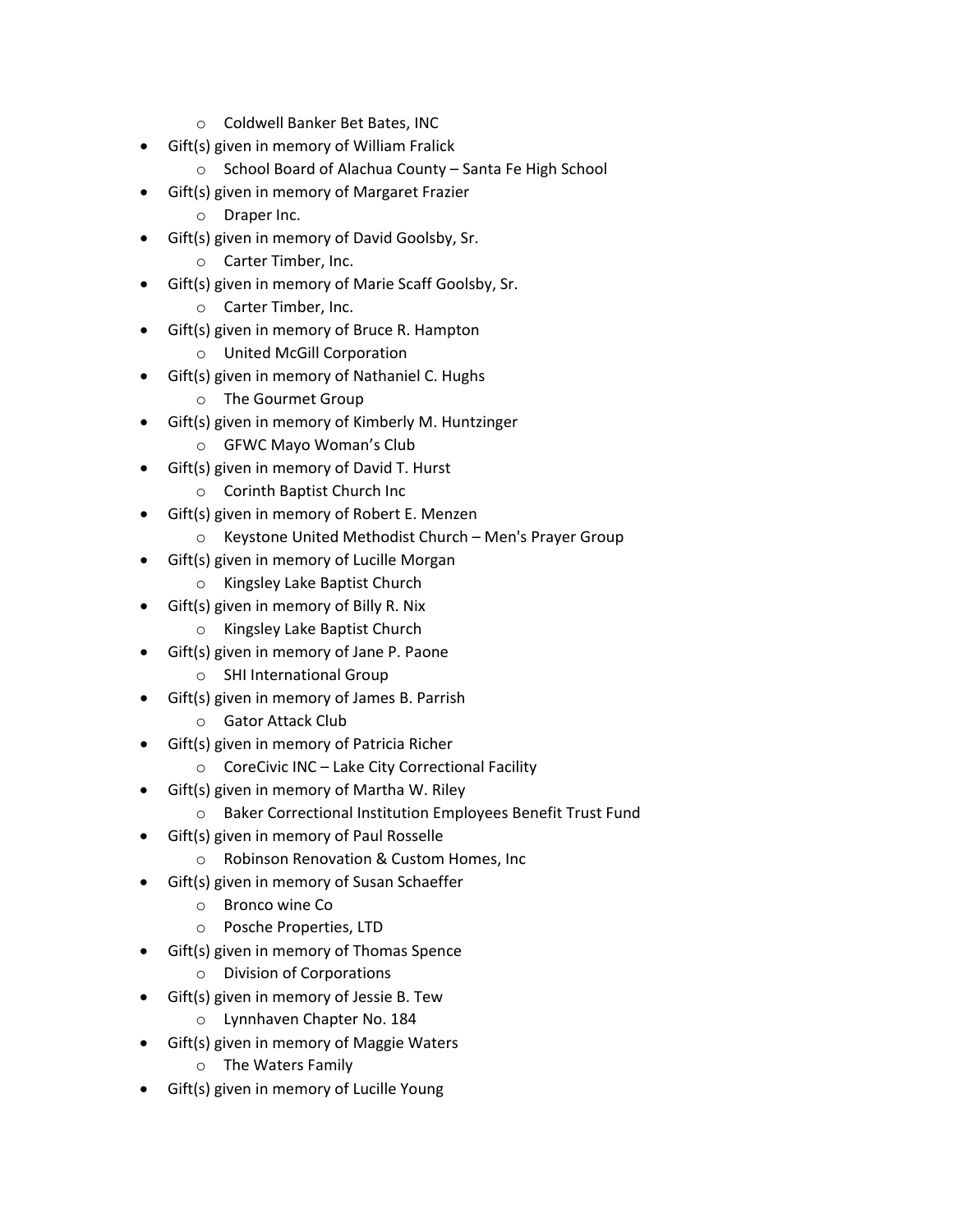- o Coldwell Banker Bet Bates, INC
- Gift(s) given in memory of William Fralick
	- o School Board of Alachua County Santa Fe High School
- Gift(s) given in memory of Margaret Frazier
	- o Draper Inc.
- Gift(s) given in memory of David Goolsby, Sr.
	- o Carter Timber, Inc.
- Gift(s) given in memory of Marie Scaff Goolsby, Sr.
	- o Carter Timber, Inc.
- Gift(s) given in memory of Bruce R. Hampton
	- o United McGill Corporation
- Gift(s) given in memory of Nathaniel C. Hughs
	- o The Gourmet Group
- Gift(s) given in memory of Kimberly M. Huntzinger
	- o GFWC Mayo Woman's Club
- Gift(s) given in memory of David T. Hurst
	- o Corinth Baptist Church Inc
- Gift(s) given in memory of Robert E. Menzen
	- o Keystone United Methodist Church Men's Prayer Group
- Gift(s) given in memory of Lucille Morgan
	- o Kingsley Lake Baptist Church
- Gift(s) given in memory of Billy R. Nix
	- o Kingsley Lake Baptist Church
- Gift(s) given in memory of Jane P. Paone
	- o SHI International Group
- Gift(s) given in memory of James B. Parrish
	- o Gator Attack Club
- Gift(s) given in memory of Patricia Richer
	- $\circ$  CoreCivic INC Lake City Correctional Facility
- Gift(s) given in memory of Martha W. Riley
	- o Baker Correctional Institution Employees Benefit Trust Fund
- Gift(s) given in memory of Paul Rosselle
	- o Robinson Renovation & Custom Homes, Inc
- Gift(s) given in memory of Susan Schaeffer
	- o Bronco wine Co
	- o Posche Properties, LTD
- Gift(s) given in memory of Thomas Spence
	- o Division of Corporations
- Gift(s) given in memory of Jessie B. Tew
	- o Lynnhaven Chapter No. 184
- Gift(s) given in memory of Maggie Waters
	- o The Waters Family
- Gift(s) given in memory of Lucille Young